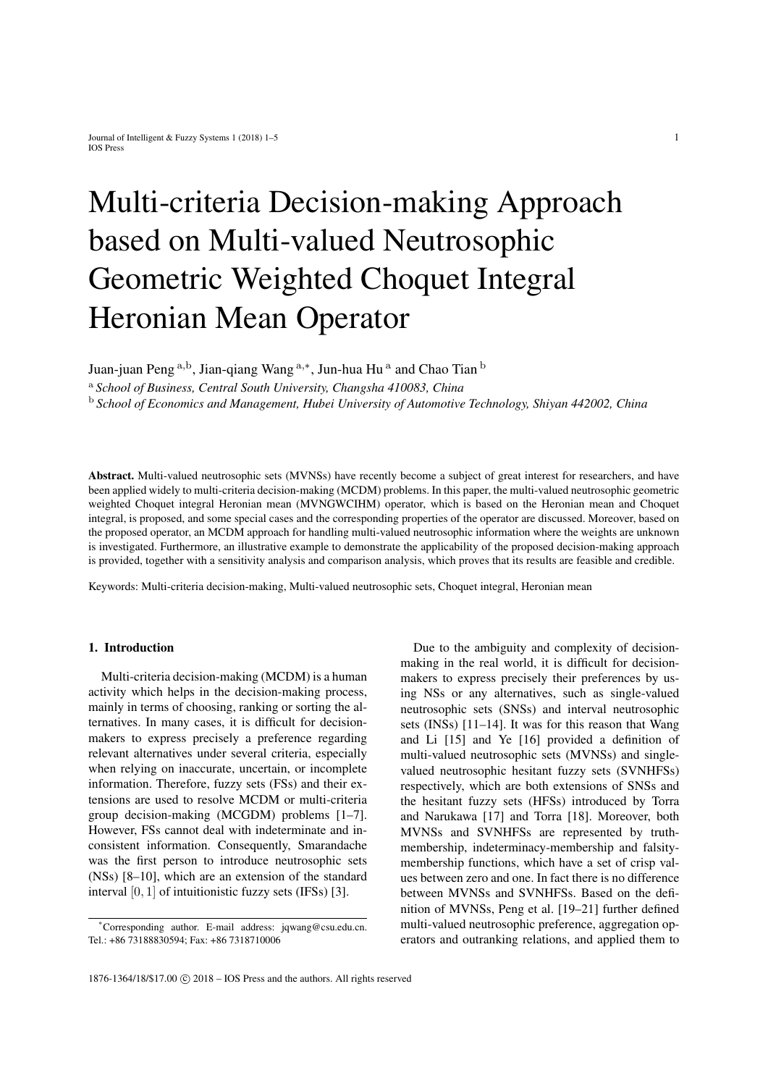# Multi-criteria Decision-making Approach based on Multi-valued Neutrosophic Geometric Weighted Choquet Integral Heronian Mean Operator

Juan-juan Peng <sup>a,b</sup>, Jian-qiang Wang <sup>a,∗</sup>, Jun-hua Hu <sup>a</sup> and Chao Tian <sup>b</sup>

<sup>a</sup> *School of Business, Central South University, Changsha 410083, China*

<sup>b</sup> *School of Economics and Management, Hubei University of Automotive Technology, Shiyan 442002, China*

Abstract. Multi-valued neutrosophic sets (MVNSs) have recently become a subject of great interest for researchers, and have been applied widely to multi-criteria decision-making (MCDM) problems. In this paper, the multi-valued neutrosophic geometric weighted Choquet integral Heronian mean (MVNGWCIHM) operator, which is based on the Heronian mean and Choquet integral, is proposed, and some special cases and the corresponding properties of the operator are discussed. Moreover, based on the proposed operator, an MCDM approach for handling multi-valued neutrosophic information where the weights are unknown is investigated. Furthermore, an illustrative example to demonstrate the applicability of the proposed decision-making approach is provided, together with a sensitivity analysis and comparison analysis, which proves that its results are feasible and credible.

Keywords: Multi-criteria decision-making, Multi-valued neutrosophic sets, Choquet integral, Heronian mean

## 1. Introduction

Multi-criteria decision-making (MCDM) is a human activity which helps in the decision-making process, mainly in terms of choosing, ranking or sorting the alternatives. In many cases, it is difficult for decisionmakers to express precisely a preference regarding relevant alternatives under several criteria, especially when relying on inaccurate, uncertain, or incomplete information. Therefore, fuzzy sets (FSs) and their extensions are used to resolve MCDM or multi-criteria group decision-making (MCGDM) problems [1–7]. However, FSs cannot deal with indeterminate and inconsistent information. Consequently, Smarandache was the first person to introduce neutrosophic sets (NSs) [8–10], which are an extension of the standard interval [0, 1] of intuitionistic fuzzy sets (IFSs) [3].

Due to the ambiguity and complexity of decisionmaking in the real world, it is difficult for decisionmakers to express precisely their preferences by using NSs or any alternatives, such as single-valued neutrosophic sets (SNSs) and interval neutrosophic sets (INSs) [11–14]. It was for this reason that Wang and Li [15] and Ye [16] provided a definition of multi-valued neutrosophic sets (MVNSs) and singlevalued neutrosophic hesitant fuzzy sets (SVNHFSs) respectively, which are both extensions of SNSs and the hesitant fuzzy sets (HFSs) introduced by Torra and Narukawa [17] and Torra [18]. Moreover, both MVNSs and SVNHFSs are represented by truthmembership, indeterminacy-membership and falsitymembership functions, which have a set of crisp values between zero and one. In fact there is no difference between MVNSs and SVNHFSs. Based on the definition of MVNSs, Peng et al. [19–21] further defined multi-valued neutrosophic preference, aggregation operators and outranking relations, and applied them to

<sup>\*</sup>Corresponding author. E-mail address: jqwang@csu.edu.cn. Tel.: +86 73188830594; Fax: +86 7318710006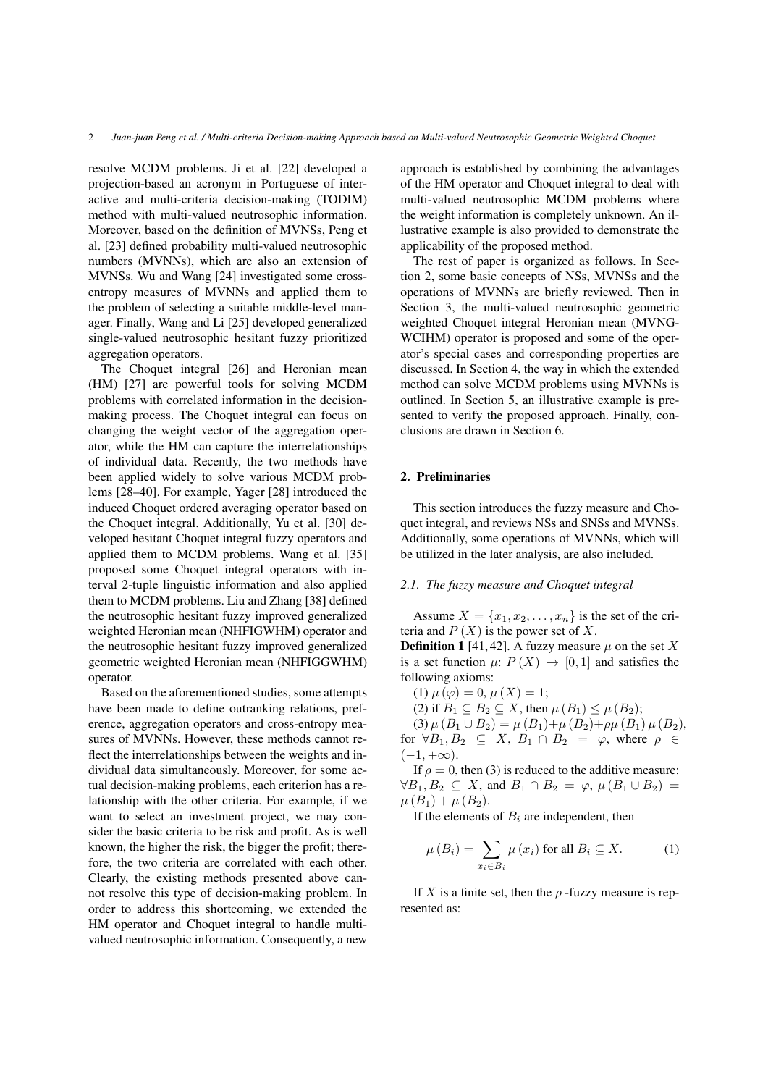resolve MCDM problems. Ji et al. [22] developed a projection-based an acronym in Portuguese of interactive and multi-criteria decision-making (TODIM) method with multi-valued neutrosophic information. Moreover, based on the definition of MVNSs, Peng et al. [23] defined probability multi-valued neutrosophic numbers (MVNNs), which are also an extension of MVNSs. Wu and Wang [24] investigated some crossentropy measures of MVNNs and applied them to the problem of selecting a suitable middle-level manager. Finally, Wang and Li [25] developed generalized single-valued neutrosophic hesitant fuzzy prioritized aggregation operators.

The Choquet integral [26] and Heronian mean (HM) [27] are powerful tools for solving MCDM problems with correlated information in the decisionmaking process. The Choquet integral can focus on changing the weight vector of the aggregation operator, while the HM can capture the interrelationships of individual data. Recently, the two methods have been applied widely to solve various MCDM problems [28–40]. For example, Yager [28] introduced the induced Choquet ordered averaging operator based on the Choquet integral. Additionally, Yu et al. [30] developed hesitant Choquet integral fuzzy operators and applied them to MCDM problems. Wang et al. [35] proposed some Choquet integral operators with interval 2-tuple linguistic information and also applied them to MCDM problems. Liu and Zhang [38] defined the neutrosophic hesitant fuzzy improved generalized weighted Heronian mean (NHFIGWHM) operator and the neutrosophic hesitant fuzzy improved generalized geometric weighted Heronian mean (NHFIGGWHM) operator.

Based on the aforementioned studies, some attempts have been made to define outranking relations, preference, aggregation operators and cross-entropy measures of MVNNs. However, these methods cannot reflect the interrelationships between the weights and individual data simultaneously. Moreover, for some actual decision-making problems, each criterion has a relationship with the other criteria. For example, if we want to select an investment project, we may consider the basic criteria to be risk and profit. As is well known, the higher the risk, the bigger the profit; therefore, the two criteria are correlated with each other. Clearly, the existing methods presented above cannot resolve this type of decision-making problem. In order to address this shortcoming, we extended the HM operator and Choquet integral to handle multivalued neutrosophic information. Consequently, a new approach is established by combining the advantages of the HM operator and Choquet integral to deal with multi-valued neutrosophic MCDM problems where the weight information is completely unknown. An illustrative example is also provided to demonstrate the applicability of the proposed method.

The rest of paper is organized as follows. In Section 2, some basic concepts of NSs, MVNSs and the operations of MVNNs are briefly reviewed. Then in Section 3, the multi-valued neutrosophic geometric weighted Choquet integral Heronian mean (MVNG-WCIHM) operator is proposed and some of the operator's special cases and corresponding properties are discussed. In Section 4, the way in which the extended method can solve MCDM problems using MVNNs is outlined. In Section 5, an illustrative example is presented to verify the proposed approach. Finally, conclusions are drawn in Section 6.

## 2. Preliminaries

This section introduces the fuzzy measure and Choquet integral, and reviews NSs and SNSs and MVNSs. Additionally, some operations of MVNNs, which will be utilized in the later analysis, are also included.

# *2.1. The fuzzy measure and Choquet integral*

Assume  $X = \{x_1, x_2, \ldots, x_n\}$  is the set of the criteria and  $P(X)$  is the power set of X.

**Definition 1** [41, 42]. A fuzzy measure  $\mu$  on the set X is a set function  $\mu: P(X) \to [0, 1]$  and satisfies the following axioms:

(1) 
$$
\mu(\varphi) = 0, \mu(X) = 1;
$$

(2) if 
$$
B_1 \subseteq B_2 \subseteq X
$$
, then  $\mu(B_1) \leq \mu(B_2)$ ;

(3)  $\mu(B_1 \cup B_2) = \mu(B_1) + \mu(B_2) + \rho \mu(B_1) \mu(B_2),$ for  $\forall B_1, B_2 \subseteq X$ ,  $B_1 \cap B_2 = \varphi$ , where  $\rho \in$  $(-1, +\infty).$ 

If  $\rho = 0$ , then (3) is reduced to the additive measure:  $\forall B_1, B_2 \subseteq X$ , and  $B_1 \cap B_2 = \varphi$ ,  $\mu(B_1 \cup B_2) =$  $\mu(B_1) + \mu(B_2)$ .

If the elements of  $B_i$  are independent, then

$$
\mu(B_i) = \sum_{x_i \in B_i} \mu(x_i) \text{ for all } B_i \subseteq X. \tag{1}
$$

If X is a finite set, then the  $\rho$ -fuzzy measure is represented as: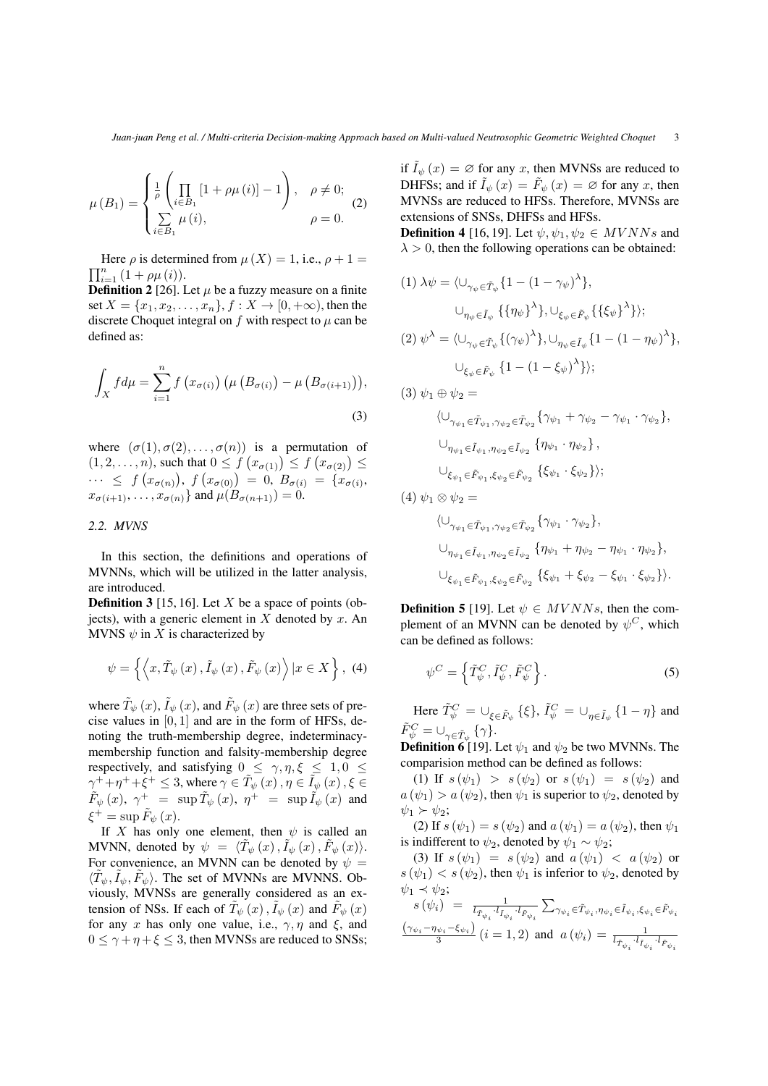$$
\mu(B_1) = \begin{cases} \frac{1}{\rho} \left( \prod_{i \in B_1} [1 + \rho \mu(i)] - 1 \right), & \rho \neq 0; \\ \sum_{i \in B_1} \mu(i), & \rho = 0. \end{cases}
$$
 (2)

 $\prod_{i=1}^{n} (1 + \rho \mu(i)).$ Here  $\rho$  is determined from  $\mu(X) = 1$ , i.e.,  $\rho + 1 =$ 

**Definition 2** [26]. Let  $\mu$  be a fuzzy measure on a finite set  $X = \{x_1, x_2, \ldots, x_n\}, f : X \to [0, +\infty)$ , then the discrete Choquet integral on f with respect to  $\mu$  can be defined as:

$$
\int_{X} f d\mu = \sum_{i=1}^{n} f(x_{\sigma(i)}) (\mu (B_{\sigma(i)}) - \mu (B_{\sigma(i+1)})),
$$
\n(3)

where  $(\sigma(1), \sigma(2), \ldots, \sigma(n))$  is a permutation of  $(1, 2, \ldots, n)$ , such that  $0 \le f(x_{\sigma(1)}) \le f(x_{\sigma(2)}) \le$  $\cdots \leq f(x_{\sigma(n)})$ ,  $f(x_{\sigma(0)}) = 0$ ,  $B_{\sigma(i)} = \{x_{\sigma(i)},$  $x_{\sigma(i+1)}, \ldots, x_{\sigma(n)}\}$  and  $\mu(B_{\sigma(n+1)}) = 0$ .

## *2.2. MVNS*

In this section, the definitions and operations of MVNNs, which will be utilized in the latter analysis, are introduced.

**Definition 3** [15, 16]. Let  $X$  be a space of points (objects), with a generic element in  $X$  denoted by  $x$ . An MVNS  $\psi$  in X is characterized by

$$
\psi = \left\{ \left\langle x, \tilde{T}_{\psi}(x), \tilde{I}_{\psi}(x), \tilde{F}_{\psi}(x) \right\rangle | x \in X \right\}, (4)
$$

where  $\tilde{T}_{\psi}(x)$ ,  $\tilde{I}_{\psi}(x)$ , and  $\tilde{F}_{\psi}(x)$  are three sets of precise values in  $[0, 1]$  and are in the form of HFSs, denoting the truth-membership degree, indeterminacymembership function and falsity-membership degree respectively, and satisfying  $0 \le \gamma, \eta, \xi \le 1, 0 \le$  $\gamma^+ + \eta^+ + \xi^+ \leq 3$ , where  $\gamma \in \tilde{T}_\psi(x)$  ,  $\eta \in \tilde{I}_\psi(x)$  ,  $\xi \in$  $\tilde{F}_\psi\,(x), \,\, \gamma^+ \,\, = \,\, \sup \tilde{T}_\psi\,(x), \,\, \eta^+ \,\, = \,\, \sup \tilde{I}_\psi\,(x) \,\,$  and  $\xi^+ = \sup \tilde{F}_\psi(x).$ 

If X has only one element, then  $\psi$  is called an MVNN, denoted by  $\psi = \langle \tilde{T}_{\psi}(x), \tilde{I}_{\psi}(x), \tilde{F}_{\psi}(x) \rangle$ . For convenience, an MVNN can be denoted by  $\psi =$  $\langle \tilde{T}_{\psi}, \tilde{I}_{\psi}, \tilde{F}_{\psi} \rangle$ . The set of MVNNs are MVNNS. Obviously, MVNSs are generally considered as an extension of NSs. If each of  $\tilde{T}_{\psi}(x)$ ,  $\tilde{I}_{\psi}(x)$  and  $\tilde{F}_{\psi}(x)$ for any x has only one value, i.e.,  $\gamma$ ,  $\eta$  and  $\xi$ , and  $0 \le \gamma + \eta + \xi \le 3$ , then MVNSs are reduced to SNSs; if  $I_{\psi}(x) = \emptyset$  for any x, then MVNSs are reduced to DHFSs; and if  $\tilde{I}_{\psi}(x) = \tilde{F}_{\psi}(x) = \varnothing$  for any x, then MVNSs are reduced to HFSs. Therefore, MVNSs are extensions of SNSs, DHFSs and HFSs.

**Definition 4** [16, 19]. Let  $\psi, \psi_1, \psi_2 \in MVNNs$  and  $\lambda > 0$ , then the following operations can be obtained:

$$
\begin{array}{ll}\n(1) \; \lambda \psi = \langle \cup_{\gamma_{\psi} \in \tilde{T}_{\psi}} \{ 1 - (1 - \gamma_{\psi})^{\lambda} \}, \\
& \cup_{\eta_{\psi} \in \tilde{I}_{\psi}} \{ \{ \eta_{\psi} \}^{\lambda} \}, \cup_{\xi_{\psi} \in \tilde{F}_{\psi}} \{ \{ \xi_{\psi} \}^{\lambda} \} \rangle; \\
(2) \; \psi^{\lambda} = \langle \cup_{\gamma_{\psi} \in \tilde{T}_{\psi}} \{ (\gamma_{\psi})^{\lambda} \}, \cup_{\eta_{\psi} \in \tilde{I}_{\psi}} \{ 1 - (1 - \eta_{\psi})^{\lambda} \}, \\
& \cup_{\xi_{\psi} \in \tilde{F}_{\psi}} \{ 1 - (1 - \xi_{\psi})^{\lambda} \} \rangle; \end{array}
$$

(3)  $\psi_1 \oplus \psi_2 =$ 

$$
\langle \bigcup_{\gamma_{\psi_1} \in \tilde{T}_{\psi_1}, \gamma_{\psi_2} \in \tilde{T}_{\psi_2}} \{ \gamma_{\psi_1} + \gamma_{\psi_2} - \gamma_{\psi_1} \cdot \gamma_{\psi_2} \},
$$
\n
$$
\bigcup_{\eta_{\psi_1} \in \tilde{I}_{\psi_1}, \eta_{\psi_2} \in \tilde{I}_{\psi_2}} \{ \eta_{\psi_1} \cdot \eta_{\psi_2} \},
$$
\n
$$
\bigcup_{\xi_{\psi_1} \in \tilde{F}_{\psi_1}, \xi_{\psi_2} \in \tilde{F}_{\psi_2}} \{ \xi_{\psi_1} \cdot \xi_{\psi_2} \} \rangle;
$$
\n(4) 
$$
\psi_1 \otimes \psi_2 =
$$
\n
$$
\langle \bigcup_{\gamma_{\psi_1} \in \tilde{T}_{\psi_1}, \gamma_{\psi_2} \in \tilde{T}_{\psi_2}} \{ \gamma_{\psi_1} \cdot \gamma_{\psi_2} \},
$$
\n
$$
\bigcup_{\eta_{\psi_1} \in \tilde{I}_{\psi_1}, \eta_{\psi_2} \in \tilde{I}_{\psi_2}} \{ \eta_{\psi_1} + \eta_{\psi_2} - \eta_{\psi_1} \cdot \eta_{\psi_2} \},
$$
\n
$$
\bigcup_{\xi_{\psi_1} \in \tilde{F}_{\psi_1}, \xi_{\psi_2} \in \tilde{F}_{\psi_2}} \{ \xi_{\psi_1} + \xi_{\psi_2} - \xi_{\psi_1} \cdot \xi_{\psi_2} \} \rangle.
$$

**Definition 5** [19]. Let  $\psi \in MVNNs$ , then the complement of an MVNN can be denoted by  $\psi^C$ , which can be defined as follows:

$$
\psi^C = \left\{ \tilde{T}_{\psi}^C, \tilde{I}_{\psi}^C, \tilde{F}_{\psi}^C \right\}.
$$
\n(5)

Here  $\tilde{T}_{\psi}^C = \bigcup_{\xi \in \tilde{F}_{\psi}} \{\xi\}, \tilde{I}_{\psi}^C = \bigcup_{\eta \in \tilde{I}_{\psi}} \{1 - \eta\}$  and  $\tilde{F}_{\psi}^{C} = \cup_{\gamma \in \tilde{T}_{\psi}} \{\gamma\}.$ 

**Definition 6** [19]. Let  $\psi_1$  and  $\psi_2$  be two MVNNs. The comparision method can be defined as follows:

(1) If  $s(\psi_1) > s(\psi_2)$  or  $s(\psi_1) = s(\psi_2)$  and  $a(\psi_1) > a(\psi_2)$ , then  $\psi_1$  is superior to  $\psi_2$ , denoted by  $\psi_1 \succ \psi_2$ ;

(2) If  $s(\psi_1) = s(\psi_2)$  and  $a(\psi_1) = a(\psi_2)$ , then  $\psi_1$ is indifferent to  $\psi_2$ , denoted by  $\psi_1 \sim \psi_2$ ;

(3) If  $s(\psi_1) = s(\psi_2)$  and  $a(\psi_1) < a(\psi_2)$  or  $s(\psi_1) < s(\psi_2)$ , then  $\psi_1$  is inferior to  $\psi_2$ , denoted by  $\psi_1 \prec \psi_2$ ;

$$
s(\psi_i) = \frac{1}{l_{\tilde{T}_{\psi_i}} \cdot l_{\tilde{I}_{\psi_i}}} \sum_{\gamma_{\psi_i} \in \tilde{T}_{\psi_i}, \eta_{\psi_i} \in \tilde{I}_{\psi_i}, \xi_{\psi_i} \in \tilde{F}_{\psi_i}}
$$
  

$$
\frac{(\gamma_{\psi_i} - \eta_{\psi_i} - \xi_{\psi_i})}{3} (i = 1, 2)
$$
 and  $a(\psi_i) = \frac{1}{l_{\tilde{T}_{\psi_i}} \cdot l_{\tilde{I}_{\psi_i}} \cdot l_{\tilde{F}_{\psi_i}}}$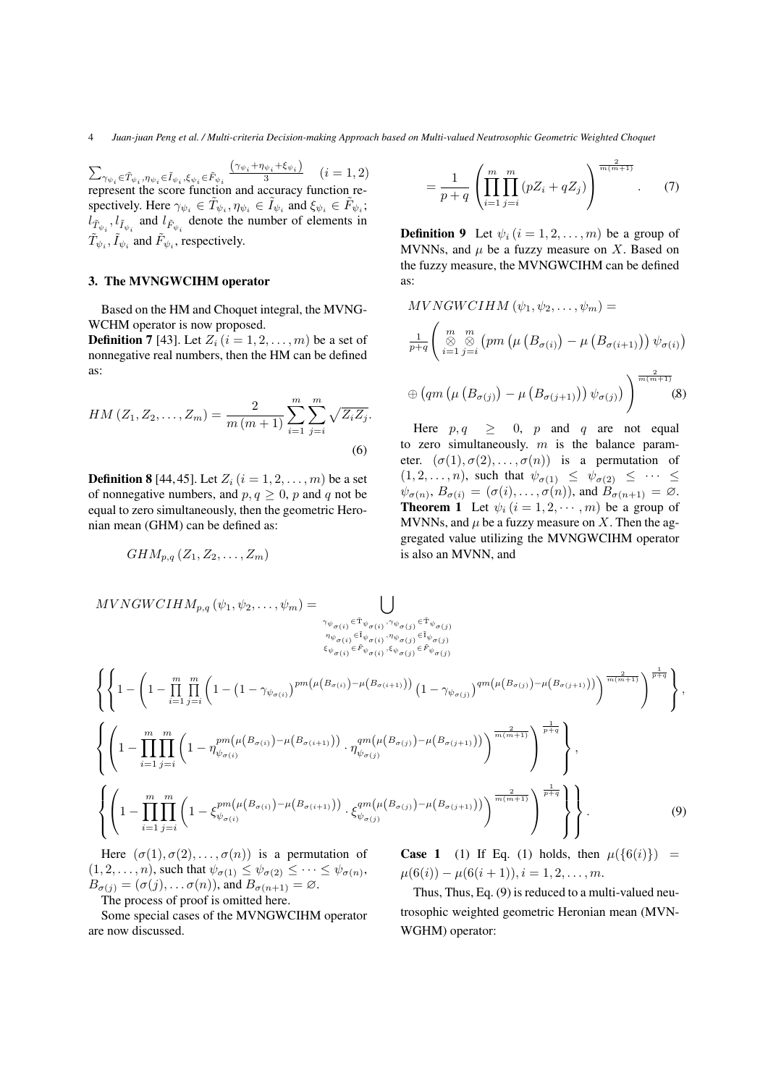$\sum\nolimits_{\gamma_{\psi_{i}}\in\tilde{T}_{\psi_{i}},\eta_{\psi_{i}}\in\tilde{I}_{\psi_{i}},\xi_{\psi_{i}}\in\tilde{F}_{\psi_{i}}}$  $\frac{(\gamma_{\psi_i}+\eta_{\psi_i}+\xi_{\psi_i})}{3}$   $(i=1,2)$ represent the score function and accuracy function respectively. Here  $\gamma_{\psi_i} \in \tilde{T}_{\psi_i}, \eta_{\psi_i} \in \tilde{I}_{\psi_i}$  and  $\xi_{\psi_i} \in \tilde{F}_{\psi_i}$ ;  $l_{\tilde{T}_{\psi_i}}$ ,  $l_{\tilde{I}_{\psi_i}}$  and  $l_{\tilde{F}_{\psi_i}}$  denote the number of elements in  $\tilde{T}_{\psi_i}$ ,  $\tilde{I}_{\psi_i}$  and  $\tilde{F}_{\psi_i}$ , respectively.

## 3. The MVNGWCIHM operator

Based on the HM and Choquet integral, the MVNG-WCHM operator is now proposed.

**Definition 7** [43]. Let  $Z_i$   $(i = 1, 2, \ldots, m)$  be a set of nonnegative real numbers, then the HM can be defined as:

$$
HM (Z_1, Z_2, \dots, Z_m) = \frac{2}{m (m+1)} \sum_{i=1}^{m} \sum_{j=i}^{m} \sqrt{Z_i Z_j}.
$$
\n(6)

**Definition 8** [44, 45]. Let  $Z_i$  ( $i = 1, 2, ..., m$ ) be a set of nonnegative numbers, and  $p, q \geq 0$ , p and q not be equal to zero simultaneously, then the geometric Heronian mean (GHM) can be defined as:

$$
GHM_{p,q}(Z_1,Z_2,\ldots,Z_m)
$$

$$
= \frac{1}{p+q} \left( \prod_{i=1}^{m} \prod_{j=i}^{m} (pZ_i + qZ_j) \right)^{\frac{2}{m(m+1)}}.
$$
 (7)

**Definition 9** Let  $\psi_i$   $(i = 1, 2, ..., m)$  be a group of MVNNs, and  $\mu$  be a fuzzy measure on X. Based on the fuzzy measure, the MVNGWCIHM can be defined as:

$$
MVNGWCIHM (\psi_1, \psi_2, ..., \psi_m) =
$$
  
\n
$$
\frac{1}{p+q} \left( \underset{i=1}{\overset{m}{\otimes}} \underset{j=i}{\overset{m}{\otimes}} (pm (\mu (B_{\sigma(i)}) - \mu (B_{\sigma(i+1)})) \psi_{\sigma(i)})
$$
  
\n
$$
\oplus (qm (\mu (B_{\sigma(j)}) - \mu (B_{\sigma(j+1)})) \psi_{\sigma(j)}) \right)^{\frac{2}{m(m+1)}} (8)
$$

Here  $p, q \geq 0$ , p and q are not equal to zero simultaneously.  $m$  is the balance parameter.  $(\sigma(1), \sigma(2), \ldots, \sigma(n))$  is a permutation of  $(1, 2, \ldots, n)$ , such that  $\psi_{\sigma(1)} \leq \psi_{\sigma(2)} \leq \cdots \leq$  $\psi_{\sigma(n)}, B_{\sigma(i)} = (\sigma(i), \ldots, \sigma(n)),$  and  $B_{\sigma(n+1)} = \emptyset$ . **Theorem 1** Let  $\psi_i$   $(i = 1, 2, \dots, m)$  be a group of MVNNs, and  $\mu$  be a fuzzy measure on X. Then the aggregated value utilizing the MVNGWCIHM operator is also an MVNN, and

$$
MVNGWCHM_{p,q}(\psi_1, \psi_2, ..., \psi_m) = \bigcup_{\substack{\gamma_{\psi_{\sigma(i)}} \in \tilde{\tau}_{\psi_{\sigma(i)}, \gamma_{\psi_{\sigma(j)}} \in \tilde{\tau}_{\psi_{\sigma(j)}} \\ \eta_{\psi_{\sigma(i)}} \in \tilde{\tau}_{\psi_{\sigma(i)}} \\ \xi_{\psi_{\sigma(i)}} \in \tilde{\tau}_{\psi_{\sigma(j)}} \\ \xi_{\psi_{\sigma(i)}} \in \tilde{\tau}_{\psi_{\sigma(j)}}}} \left\{ \left\{ 1 - \left( 1 - \prod_{i=1}^{m} \prod_{j=i}^{m} \left( 1 - (1 - \gamma_{\psi_{\sigma(i)}})^{pm(\mu(B_{\sigma(i)}, -\mu(B_{\sigma(i+1)})))} (1 - \gamma_{\psi_{\sigma(j)}})^{qm(\mu(B_{\sigma(j)})-\mu(B_{\sigma(j+1)})))} \right)^{\frac{2}{m(m+1)}} \right\}^{\frac{1}{m(m+1)}}} \right\},
$$
\n
$$
\left\{ \left( 1 - \prod_{i=1}^{m} \prod_{j=i}^{m} \left( 1 - \eta_{\psi_{\sigma(i)}}^{pm(\mu(B_{\sigma(i)})-\mu(B_{\sigma(i+1)})))} \cdot \eta_{\psi_{\sigma(j)}}^{qm(\mu(B_{\sigma(j)})-\mu(B_{\sigma(j+1)})))} \right)^{\frac{2}{m(m+1)}} \right\}^{\frac{1}{m(m+1)}} \right\},
$$
\n
$$
\left\{ \left( 1 - \prod_{i=1}^{m} \prod_{j=i}^{m} \left( 1 - \xi_{\psi_{\sigma(i)}}^{pm(\mu(B_{\sigma(i)})-\mu(B_{\sigma(i+1)})))} \cdot \xi_{\psi_{\sigma(j)}}^{qm(\mu(B_{\sigma(j)})-\mu(B_{\sigma(j+1)})))} \right)^{\frac{2}{m(m+1)}} \right\}^{\frac{1}{m(m+1)}} \right\}.
$$
\n(9)

Here  $(\sigma(1), \sigma(2), \ldots, \sigma(n))$  is a permutation of  $(1, 2, \ldots, n)$ , such that  $\psi_{\sigma(1)} \leq \psi_{\sigma(2)} \leq \cdots \leq \psi_{\sigma(n)}$ ,  $B_{\sigma(j)} = (\sigma(j), \ldots \sigma(n))$ , and  $B_{\sigma(n+1)} = \emptyset$ . The process of proof is omitted here.

Some special cases of the MVNGWCIHM operator are now discussed.

**Case 1** (1) If Eq. (1) holds, then  $\mu({0i})$  =  $\mu(6(i)) - \mu(6(i+1)), i = 1, 2, \ldots, m.$ 

Thus, Thus, Eq. (9) is reduced to a multi-valued neutrosophic weighted geometric Heronian mean (MVN-WGHM) operator: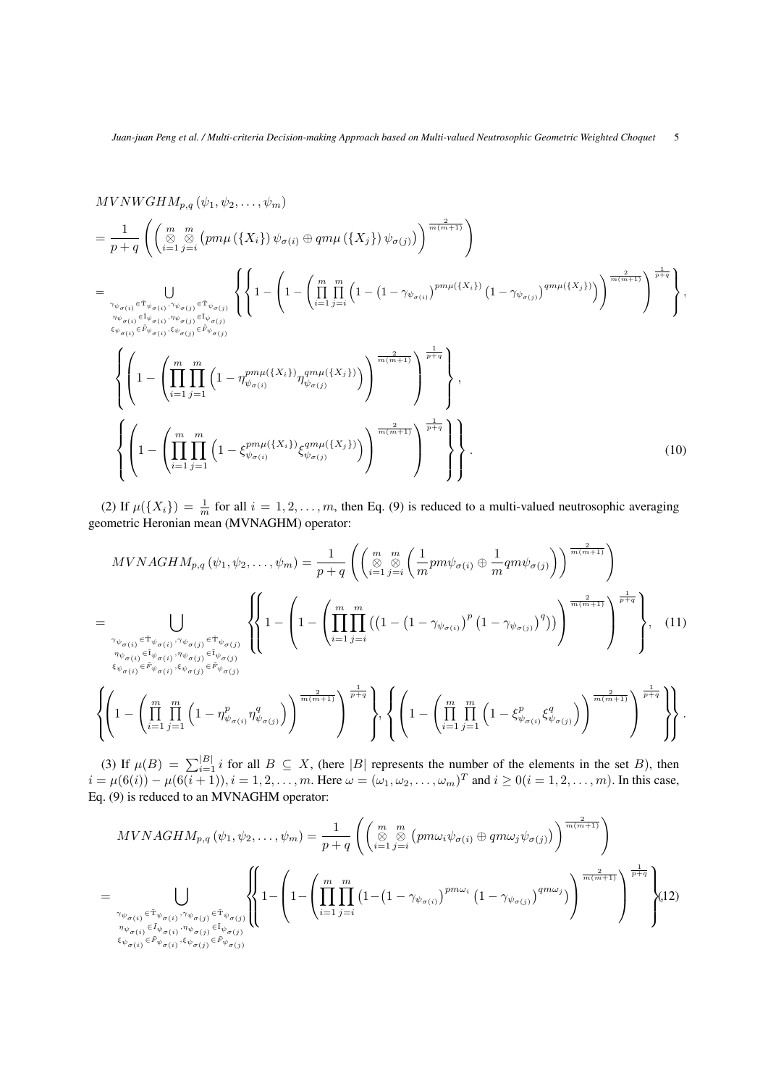$$
MVNWGHM_{p,q}(\psi_1, \psi_2, ..., \psi_m)
$$
\n
$$
= \frac{1}{p+q} \left( \left( \sum_{i=1}^{m} \sum_{j=i}^{m} \left( pm\mu\left( \{X_i\} \right) \psi_{\sigma(i)} \oplus qm\mu\left( \{X_j\} \right) \psi_{\sigma(j)} \right) \right)^{\frac{2}{m(m+1)}} \right)
$$
\n
$$
= \bigcup_{\substack{\gamma_{\psi_{\sigma(i)}} \in \tilde{\tau}_{\psi_{\sigma(i)}, \gamma_{\psi_{\sigma(j)}} \in \tilde{\tau}_{\psi_{\sigma(j)}} \\ \vdots \\ \psi_{\sigma(i)} \in \tilde{\mu}_{\psi_{\sigma(i)}, \gamma_{\psi_{\sigma(j)}} \in \tilde{\mu}_{\psi_{\sigma(j)}} \\ \xi_{\psi_{\sigma(i)} \in \tilde{\mu}_{\psi_{\sigma(i)}, \gamma_{\psi_{\sigma(j)}} \in \tilde{\mu}_{\psi_{\sigma(j)}}}} \left\{ \left\{ 1 - \left( 1 - \left( \prod_{i=1}^{m} \prod_{j=i}^{m} \left( 1 - (1 - \gamma_{\psi_{\sigma(i)}})^{pm\mu(\{X_i\})} (1 - \gamma_{\psi_{\sigma(j)}})^{qm\mu(\{X_j\})} \right) \right)^{\frac{2}{m(m+1)}} \right\} \right\},
$$
\n
$$
\left\{ \left( 1 - \left( \prod_{i=1}^{m} \prod_{j=1}^{m} \left( 1 - \eta_{\psi_{\sigma(i)}}^{pm\mu(\{X_i\})} \eta_{\psi_{\sigma(j)}}^{am\mu(\{X_j\})} \right) \right)^{\frac{2}{m(m+1)}} \right)^{\frac{1}{p+q}} \right\},
$$
\n
$$
\left\{ \left( 1 - \left( \prod_{i=1}^{m} \prod_{j=1}^{m} \left( 1 - \xi_{\psi_{\sigma(i)}}^{pm\mu(\{X_i\})} \xi_{\psi_{\sigma(j)}}^{am\mu(\{X_j\})} \right) \right)^{\frac{2}{m(m+1)}} \right)^{\frac{1}{p+q}} \right\} \right\}.
$$
\n(10)

(2) If  $\mu({X_i}) = \frac{1}{m}$  for all  $i = 1, 2, ..., m$ , then Eq. (9) is reduced to a multi-valued neutrosophic averaging geometric Heronian mean (MVNAGHM) operator:

$$
MVNAGHM_{p,q}(\psi_1, \psi_2, \dots, \psi_m) = \frac{1}{p+q} \left( \left( \underset{i=1}{\overset{m}{\otimes}} \underset{j=i}{\overset{m}{\otimes}} \left( \frac{1}{m} p m \psi_{\sigma(i)} \oplus \frac{1}{m} q m \psi_{\sigma(j)} \right) \right)^{\frac{2}{m(m+1)}} \right)
$$
  
\n
$$
= \bigcup_{\substack{\gamma_{\psi_{\sigma(i)}} \in \tilde{\Gamma}_{\psi_{\sigma(i)}}, \gamma_{\psi_{\sigma(j)}} \in \tilde{\Gamma}_{\psi_{\sigma(j)}}}} \left\{ \left\{ 1 - \left( 1 - \left( \prod_{i=1}^{m} \prod_{j=i}^{m} \left( \left( 1 - \left( 1 - \gamma_{\psi_{\sigma(i)}} \right)^p \left( 1 - \gamma_{\psi_{\sigma(j)}} \right)^q \right) \right) \right)^{\frac{2}{m(m+1)}} \right\}^{\frac{2}{m(m+1)}} \right\}, \quad (11)
$$
  
\n
$$
\stackrel{\gamma_{\psi_{\sigma(i)}} \in \tilde{\Gamma}_{\psi_{\sigma(i)}}, \zeta_{\psi_{\sigma(j)}} \in \tilde{F}_{\psi_{\sigma(j)}}}{{\xi_{\psi_{\sigma(i)}}}, \zeta_{\psi_{\sigma(j)}} \in \tilde{F}_{\psi_{\sigma(j)}}}
$$

$$
\left\{\left(1-\left(\prod_{i=1}^m\prod_{j=1}^m\left(1-\eta_{\psi_{\sigma(i)}}^p\eta_{\psi_{\sigma(j)}}^q\right)\right)^{\frac{2}{m(m+1)}}\right)^{\frac{1}{p+q}}\right\},\left\{\left(1-\left(\prod_{i=1}^m\prod_{j=1}^m\left(1-\xi_{\psi_{\sigma(i)}}^p\xi_{\psi_{\sigma(j)}}^q\right)\right)^{\frac{2}{m(m+1)}}\right)^{\frac{1}{p+q}}\right\}\right\}.
$$

(3) If  $\mu(B) = \sum_{i=1}^{|B|} i$  for all  $B \subseteq X$ , (here |B| represents the number of the elements in the set B), then  $i = \mu(6(i)) - \mu(6(i+1)), i = 1, 2, \dots, m$ . Here  $\omega = (\omega_1, \omega_2, \dots, \omega_m)^T$  and  $i \ge 0 (i = 1, 2, \dots, m)$ . In this case, Eq. (9) is reduced to an MVNAGHM operator:

$$
MVNAGHM_{p,q}(\psi_1, \psi_2, \dots, \psi_m) = \frac{1}{p+q} \left( \left( \underset{i=1}{\overset{m}{\otimes}} \underset{j=i}{\overset{m}{\otimes}} (pm\omega_i\psi_{\sigma(i)} \oplus qm\omega_j\psi_{\sigma(j)}) \right)^{\frac{2}{m(m+1)}} \right)
$$
  
\n
$$
= \bigcup_{\substack{\gamma_{\psi_{\sigma(i)}} \in \tilde{\tau}_{\psi_{\sigma(i)}}, \gamma_{\psi_{\sigma(j)}} \in \tilde{\tau}_{\psi_{\sigma(j)}}}} \left\{ 1 - \left( 1 - \left( \prod_{i=1}^{m} \prod_{j=i}^{m} \left( 1 - \left( 1 - \gamma_{\psi_{\sigma(i)}} \right)^{pm\omega_i} \left( 1 - \gamma_{\psi_{\sigma(j)}} \right)^{qm\omega_j} \right) \right)^{\frac{2}{m(m+1)}} \right\}^{\frac{2}{m(m+1)}} \right\}^{\frac{2}{m(m+1)}} \right\}^{(12)}
$$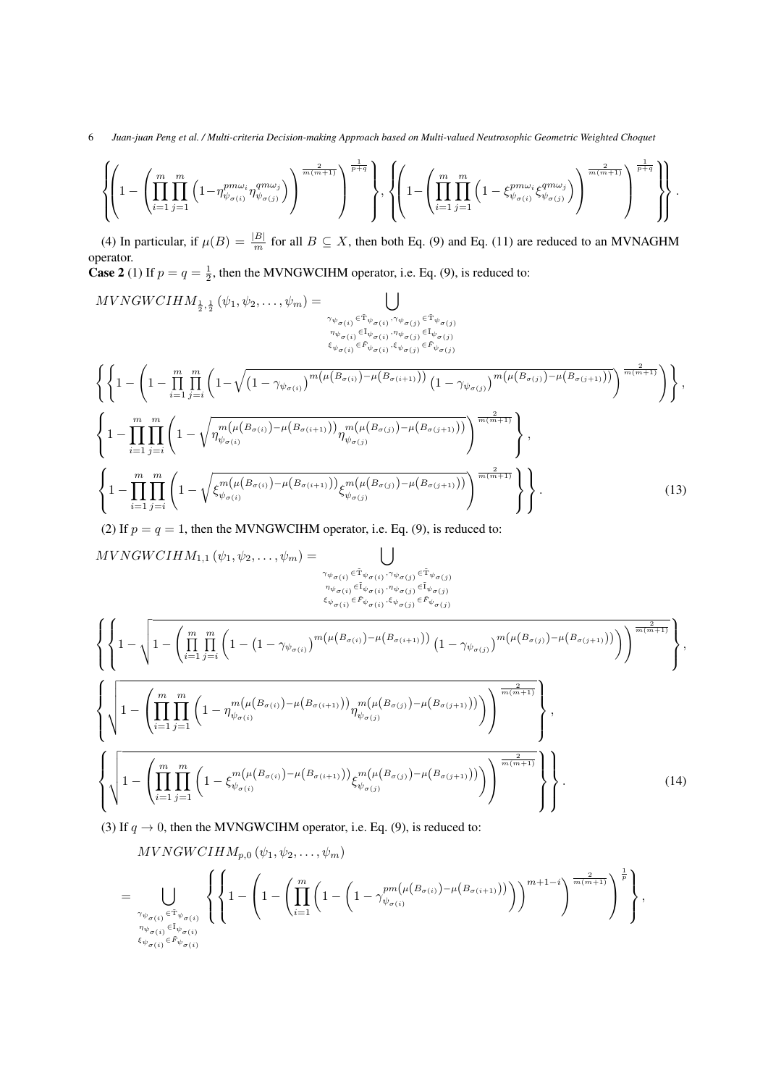## 6 *Juan-juan Peng et al. / Multi-criteria Decision-making Approach based on Multi-valued Neutrosophic Geometric Weighted Choquet*

$$
\left\{\!\!\left(1-\left(\prod_{i=1}^m\prod_{j=1}^m\left(1-\eta_{\psi_{\sigma(i)}}^{pm\omega_i}\eta_{\psi_{\sigma(j)}}^{qm\omega_j}\right)\right)^{\frac{2}{m(m+1)}}\right)^{\frac{1}{p+q}}\right\},\left\{\!\!\left(1-\left(\prod_{i=1}^m\prod_{j=1}^m\left(1-\xi_{\psi_{\sigma(i)}}^{pm\omega_i}\xi_{\psi_{\sigma(j)}}^{qm\omega_j}\right)\right)^{\frac{2}{m(m+1)}}\right)^{\frac{1}{p+q}}\right\}\right\}.
$$

(4) In particular, if  $\mu(B) = \frac{|B|}{m}$  for all  $B \subseteq X$ , then both Eq. (9) and Eq. (11) are reduced to an MVNAGHM operator.

**Case 2** (1) If  $p = q = \frac{1}{2}$ , then the MVNGWCIHM operator, i.e. Eq. (9), is reduced to:

$$
MVNGWCIHM_{\frac{1}{2},\frac{1}{2}}(\psi_{1},\psi_{2},\ldots,\psi_{m}) = \bigcup_{\substack{\gamma_{\psi_{\sigma(i)}} \in \tilde{\tau}_{\psi_{\sigma(i)}}, \gamma_{\psi_{\sigma(j)}} \in \tilde{\tau}_{\psi_{\sigma(j)}} \\ \psi_{\sigma(i)} \in \tilde{\mu}_{\psi_{\sigma(i)}} \\ \xi_{\psi_{\sigma(i)}} \in \tilde{\mu}_{\psi_{\sigma(i)}}}} \bigcup_{\substack{\tilde{\tau}_{\psi_{\sigma(i)}} \in \tilde{\tau}_{\psi_{\sigma(j)}} \\ \xi_{\psi_{\sigma(i)}} \in \tilde{\mu}_{\psi_{\sigma(j)}} \\ \xi_{\psi_{\sigma(i)}} \in \tilde{\mu}_{\psi_{\sigma(j)}}}} \bigg\left\{ \left( 1 - \left( 1 - \prod_{i=1}^{m} \prod_{j=i}^{m} \left( 1 - \sqrt{\left( 1 - \gamma_{\psi_{\sigma(i)}} \right)^{m(\mu(B_{\sigma(i)}) - \mu(B_{\sigma(i+1)}))} \left( 1 - \gamma_{\psi_{\sigma(j)}} \right)^{m(\mu(B_{\sigma(j)}) - \mu(B_{\sigma(j+1)}))} \right) \right)^{\frac{2}{m(m+1)}}} \right\}, \left\{ 1 - \prod_{i=1}^{m} \prod_{j=i}^{m} \left( 1 - \sqrt{\eta_{\psi_{\sigma(i)}}^{m(\mu(B_{\sigma(i)}) - \mu(B_{\sigma(i+1)}))} \eta_{\psi_{\sigma(j)}}^{m(\mu(B_{\sigma(j)}) - \mu(B_{\sigma(j+1)}))} \right)^{\frac{2}{m(m+1)}}} \right\}, \left\{ 1 - \prod_{i=1}^{m} \prod_{j=i}^{m} \left( 1 - \sqrt{\xi_{\psi_{\sigma(i)}}^{m(\mu(B_{\sigma(i)}) - \mu(B_{\sigma(i+1)}))} \xi_{\psi_{\sigma(j)}}^{m(\mu(B_{\sigma(j)}) - \mu(B_{\sigma(j+1)}))} \right)^{\frac{2}{m(m+1)}}} \right\} \right\}.
$$
\n(13)

(2) If  $p = q = 1$ , then the MVNGWCIHM operator, i.e. Eq. (9), is reduced to:

$$
MVNGWCHM_{1,1}(\psi_1, \psi_2, ..., \psi_m) = \bigcup_{\substack{\gamma_{\psi_{\sigma(i)}} \in \tilde{T}_{\psi_{\sigma(i)}}, \gamma_{\psi_{\sigma(j)}} \in \tilde{T}_{\psi_{\sigma(j)}} \\ \psi_{\sigma(i)} \in \tilde{F}_{\psi_{\sigma(i)}} \\ \xi_{\psi_{\sigma(i)}} \in \tilde{F}_{\psi_{\sigma(j)}}}} \left\{ \left\{ 1 - \sqrt{1 - \left( \prod_{i=1}^{m} \prod_{j=i}^{m} \left( 1 - (1 - \gamma_{\psi_{\sigma(i)}})^{m(\mu(B_{\sigma(i)}) - \mu(B_{\sigma(i+1)}))} (1 - \gamma_{\psi_{\sigma(j)}})^{m(\mu(B_{\sigma(j)}) - \mu(B_{\sigma(j+1)}))} \right) \right)^{\frac{2}{m(m+1)}}} \right\},
$$
\n
$$
\left\{ \sqrt{1 - \left( \prod_{i=1}^{m} \prod_{j=1}^{m} \left( 1 - \eta_{\psi_{\sigma(i)}}^{m(\mu(B_{\sigma(i)}) - \mu(B_{\sigma(i+1)}))} \eta_{\psi_{\sigma(j)}}^{m(\mu(B_{\sigma(j)}) - \mu(B_{\sigma(j+1)}))} \right) \right)^{\frac{2}{m(m+1)}}} \right\},
$$
\n
$$
\left\{ \sqrt{1 - \left( \prod_{i=1}^{m} \prod_{j=1}^{m} \left( 1 - \xi_{\psi_{\sigma(i)}}^{m(\mu(B_{\sigma(i)}) - \mu(B_{\sigma(i+1)}))} \xi_{\psi_{\sigma(j)}}^{m(\mu(B_{\sigma(j)}) - \mu(B_{\sigma(j+1)}))} \right) \right)^{\frac{2}{m(m+1)}}} \right\} \right\}.
$$
\n(14)

(3) If  $q \to 0$ , then the MVNGWCIHM operator, i.e. Eq. (9), is reduced to:

$$
\begin{split} & MVNGWCHM_{p,0}\left(\psi_{1},\psi_{2},\ldots,\psi_{m}\right)\\ &=\bigcup_{\gamma_{\psi_{\sigma(i)}}\in\tilde{\mathcal{T}}_{\psi_{\sigma(i)}}\atop n_{\psi_{\sigma(i)}}\in\tilde{\mathcal{I}}_{\psi_{\sigma(i)}}}\left\{\left\{1-\left(1-\left(\prod_{i=1}^{m}\left(1-\left(1-\gamma_{\psi_{\sigma(i)}}^{pm\left(\mu\left(B_{\sigma(i)}\right)-\mu\left(B_{\sigma(i+1)}\right)\right)}\right)\right)^{m+1-i}\right)^{\frac{2}{m(m+1)}}\right\}^{\frac{1}{p}}\right\},\end{split}
$$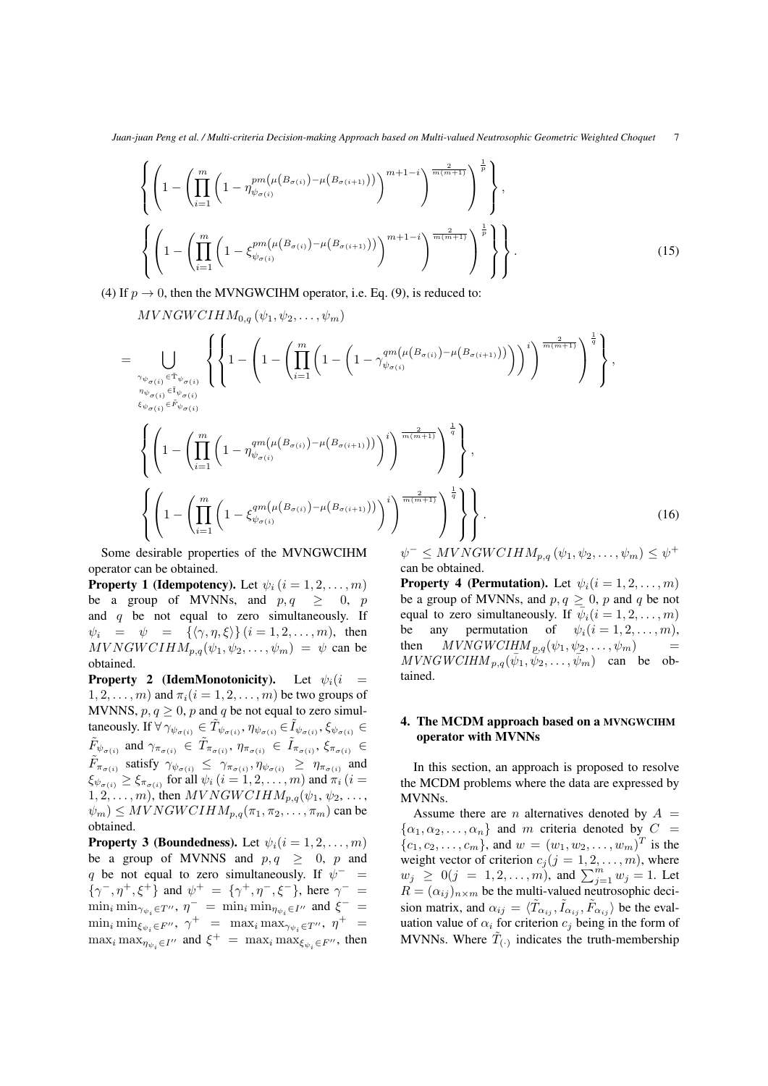$$
\left\{ \left( 1 - \left( \prod_{i=1}^{m} \left( 1 - \eta_{\psi_{\sigma(i)}}^{pm(\mu(B_{\sigma(i)}) - \mu(B_{\sigma(i+1)})))} \right)^{m+1-i} \right)^{\frac{2}{m(m+1)}} \right)^{\frac{1}{p}} \right\},
$$
\n
$$
\left\{ \left( 1 - \left( \prod_{i=1}^{m} \left( 1 - \xi_{\psi_{\sigma(i)}}^{pm(\mu(B_{\sigma(i)}) - \mu(B_{\sigma(i+1)})))} \right)^{m+1-i} \right)^{\frac{2}{m(m+1)}} \right)^{\frac{1}{p}} \right\}.
$$
\n(15)

(4) If  $p \to 0$ , then the MVNGWCIHM operator, i.e. Eq. (9), is reduced to:

 $MVNGWCIHM_{0,q}(\psi_1, \psi_2, \ldots, \psi_m)$ 

$$
= \bigcup_{\substack{\gamma_{\psi_{\sigma(i)}} \in \tilde{\mathcal{T}}_{\psi_{\sigma(i)}} \\ \eta_{\psi_{\sigma(i)}} \in \tilde{\mathcal{T}}_{\psi_{\sigma(i)}} \\ \xi_{\psi_{\sigma(i)}} \in \tilde{\mathcal{F}}_{\psi_{\sigma(i)}}}} \left\{ \left\{ 1 - \left( 1 - \left( \prod_{i=1}^{m} \left( 1 - \left( 1 - \gamma_{\psi_{\sigma(i)}}^{qm(\mu(B_{\sigma(i)}) - \mu(B_{\sigma(i+1)}))} \right) \right)^i \right)^{\frac{2}{m(m+1)}} \right)^{\frac{1}{q}} \right\},
$$
\n
$$
\left\{ \left( 1 - \left( \prod_{i=1}^{m} \left( 1 - \eta_{\psi_{\sigma(i)}}^{qm(\mu(B_{\sigma(i)}) - \mu(B_{\sigma(i+1)}))} \right)^i \right)^{\frac{2}{m(m+1)}} \right)^{\frac{1}{q}} \right\},
$$
\n
$$
\left\{ \left( 1 - \left( \prod_{i=1}^{m} \left( 1 - \xi_{\psi_{\sigma(i)}}^{qm(\mu(B_{\sigma(i)}) - \mu(B_{\sigma(i+1)}))} \right)^i \right)^{\frac{2}{m(m+1)}} \right)^{\frac{1}{q}} \right\} \right\}.
$$
\n(16)

Some desirable properties of the MVNGWCIHM operator can be obtained.

**Property 1 (Idempotency).** Let  $\psi_i$  ( $i = 1, 2, ..., m$ ) be a group of MVNNs, and  $p, q \geq 0, p$ and  $q$  be not equal to zero simultaneously. If  $\psi_i = \psi = {\{\langle \gamma, \eta, \xi \rangle\}} (i = 1, 2, \dots, m)$ , then  $MVNGWCIHM_{p,q}(\psi_1, \psi_2, \dots, \psi_m) = \psi$  can be obtained.

**Property 2 (IdemMonotonicity).** Let  $\psi_i(i)$  =  $1, 2, \ldots, m$  and  $\pi_i$   $(i = 1, 2, \ldots, m)$  be two groups of MVNNS,  $p, q \geq 0$ , p and q be not equal to zero simultaneously. If  $\forall \gamma_{\psi_{\sigma(i)}} \in \tilde{T}_{\psi_{\sigma(i)}}, \eta_{\psi_{\sigma(i)}} \in \tilde{I}_{\psi_{\sigma(i)}}, \xi_{\psi_{\sigma(i)}} \in$  $\tilde{F}_{\psi_{\sigma(i)}}$  and  $\gamma_{\pi_{\sigma(i)}} \in \tilde{T}_{\pi_{\sigma(i)}}, \eta_{\pi_{\sigma(i)}} \in \tilde{I}_{\pi_{\sigma(i)}}, \xi_{\pi_{\sigma(i)}} \in$  $\tilde{F}_{\pi_{\sigma(i)}}$  satisfy  $\gamma_{\psi_{\sigma(i)}} \leq \gamma_{\pi_{\sigma(i)}}, \eta_{\psi_{\sigma(i)}} \geq \eta_{\pi_{\sigma(i)}}$  and  $\xi_{\psi_{\sigma(i)}} \geq \xi_{\pi_{\sigma(i)}}$  for all  $\psi_i$   $(i = 1, 2, \ldots, m)$  and  $\pi_i$   $(i = 1, 2, \ldots, m)$  $1, 2, \ldots, m$ , then  $MVNGWCIHM_{p,q}(\psi_1, \psi_2, \ldots, \psi_m)$  $|\psi_m| \le MVNGWCIHM_{p,q}(\pi_1, \pi_2, \ldots, \pi_m)$  can be obtained.

**Property 3 (Boundedness).** Let  $\psi_i$  ( $i = 1, 2, \ldots, m$ ) be a group of MVNNS and  $p, q \geq 0$ , p and q be not equal to zero simultaneously. If  $\psi^-$  =  $\{\gamma^-, \eta^+, \xi^+\}$  and  $\psi^+ = \{\gamma^+, \eta^-, \xi^-\}$ , here  $\gamma^- =$  $\min_i \min_{\gamma_{\psi_i} \in T''}, \eta^- = \min_i \min_{\eta_{\psi_i} \in I''}$  and  $\xi^- =$  $\min_i \min_{\xi_{\psi_i} \in F''}, \gamma^+ = \max_i \max_{\gamma_{\psi_i} \in T''}, \eta^+ =$  $\max_i \max_{\eta_{\psi_i} \in I''}$  and  $\xi^+ = \max_i \max_{\xi_{\psi_i} \in F''}$ , then

 $\psi^- \leq MVNGWCIHM_{p,q}(\psi_1, \psi_2, \ldots, \psi_m) \leq \psi^+$ can be obtained.

**Property 4 (Permutation).** Let  $\psi_i(i = 1, 2, \dots, m)$ be a group of MVNNs, and  $p, q \geq 0$ , p and q be not equal to zero simultaneously. If  $\overline{\psi}_i (i = 1, 2, \ldots, m)$ be any permutation of  $\psi_i(i = 1, 2, \dots, m)$ , then  $MVNGWCHM_{p,q}(\psi_1, \psi_2, \dots, \psi_m)$  =  $MVNGWCIHM_{p,q}(\bar{\psi}_1, \overline{\psi}_2, \dots, \overline{\psi}_m)$  can be obtained.

# 4. The MCDM approach based on a MVNGWCIHM operator with MVNNs

In this section, an approach is proposed to resolve the MCDM problems where the data are expressed by MVNNs.

Assume there are *n* alternatives denoted by  $A =$  $\{\alpha_1, \alpha_2, \dots, \alpha_n\}$  and m criteria denoted by  $C =$  $\{c_1, c_2, \ldots, c_m\}$ , and  $w = (w_1, w_2, \ldots, w_m)^T$  is the weight vector of criterion  $c_j$  ( $j = 1, 2, \ldots, m$ ), where  $w_j \ge 0$   $(j = 1, 2, ..., m)$ , and  $\sum_{j=1}^{m} w_j = 1$ . Let  $R = (\alpha_{ij})_{n \times m}$  be the multi-valued neutrosophic decision matrix, and  $\alpha_{ij} = \langle \tilde{T}_{\alpha_{ij}}, \tilde{I}_{\alpha_{ij}}, \tilde{F}_{\alpha_{ij}} \rangle$  be the evaluation value of  $\alpha_i$  for criterion  $c_j$  being in the form of MVNNs. Where  $\tilde{T}_{(\cdot)}$  indicates the truth-membership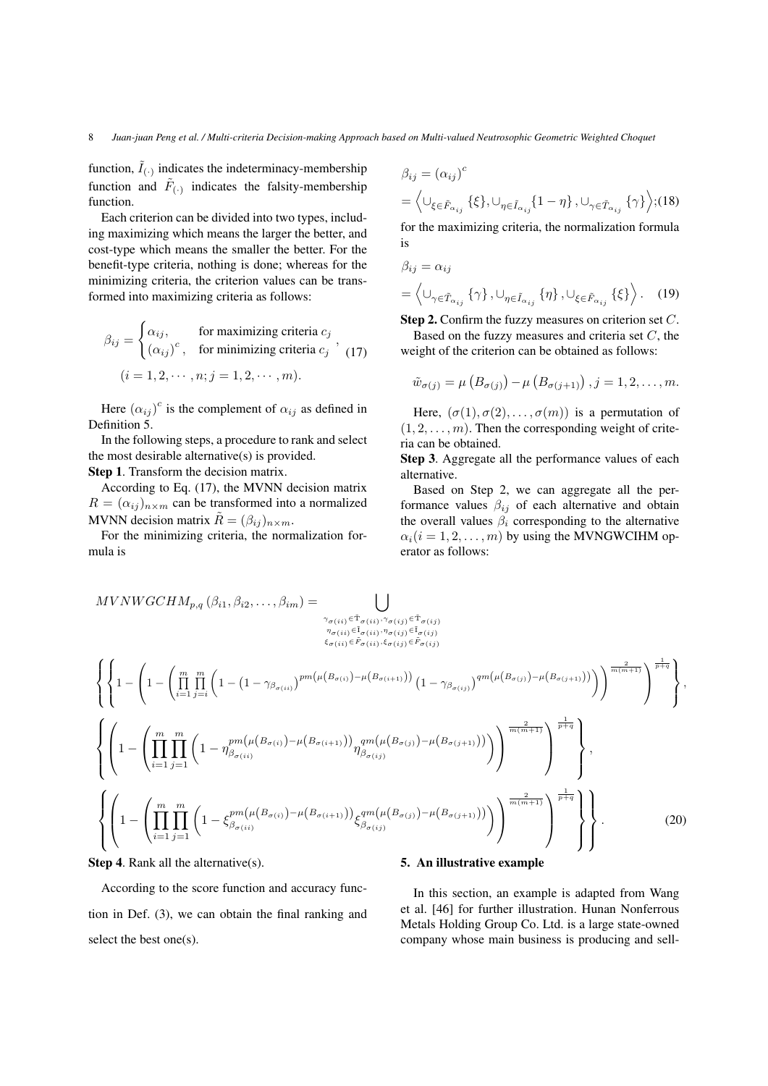function,  $\tilde{I}_{(.)}$  indicates the indeterminacy-membership function and  $\tilde{F}_{(\cdot)}$  indicates the falsity-membership function.

Each criterion can be divided into two types, including maximizing which means the larger the better, and cost-type which means the smaller the better. For the benefit-type criteria, nothing is done; whereas for the minimizing criteria, the criterion values can be transformed into maximizing criteria as follows:

$$
\beta_{ij} = \begin{cases} \alpha_{ij}, & \text{for maximizing criteria } c_j \\ (\alpha_{ij})^c, & \text{for minimizing criteria } c_j \end{cases}, (17)
$$

$$
(i = 1, 2, \dots, n; j = 1, 2, \dots, m).
$$

Here  $(\alpha_{ij})^c$  is the complement of  $\alpha_{ij}$  as defined in Definition 5.

In the following steps, a procedure to rank and select the most desirable alternative(s) is provided.

Step 1. Transform the decision matrix.

According to Eq. (17), the MVNN decision matrix  $R = (\alpha_{ij})_{n \times m}$  can be transformed into a normalized MVNN decision matrix  $\tilde{R} = (\beta_{ij})_{n \times m}$ .

For the minimizing criteria, the normalization formula is

$$
\beta_{ij} = (\alpha_{ij})^c
$$
  
=  $\langle \cup_{\xi \in \tilde{F}_{\alpha_{ij}}} \{\xi\}, \cup_{\eta \in \tilde{I}_{\alpha_{ij}}} \{1 - \eta\}, \cup_{\gamma \in \tilde{T}_{\alpha_{ij}}} \{\gamma\} \rangle$ ; (18)  
for the maximizing criteria, the normalization formula  
is

$$
\beta_{ij} = \alpha_{ij}
$$
\n
$$
= \left\langle \cup_{\gamma \in \tilde{T}_{\alpha_{ij}}} \{\gamma\}, \cup_{\eta \in \tilde{I}_{\alpha_{ij}}} \{\eta\}, \cup_{\xi \in \tilde{F}_{\alpha_{ij}}} \{\xi\} \right\rangle. \quad (19)
$$

Step 2. Confirm the fuzzy measures on criterion set C. Based on the fuzzy measures and criteria set  $C$ , the

weight of the criterion can be obtained as follows:

$$
\tilde{w}_{\sigma(j)} = \mu\left(B_{\sigma(j)}\right) - \mu\left(B_{\sigma(j+1)}\right), j = 1, 2, \ldots, m.
$$

Here,  $(\sigma(1), \sigma(2), \ldots, \sigma(m))$  is a permutation of  $(1, 2, \ldots, m)$ . Then the corresponding weight of criteria can be obtained.

Step 3. Aggregate all the performance values of each alternative.

Based on Step 2, we can aggregate all the performance values  $\beta_{ij}$  of each alternative and obtain the overall values  $\beta_i$  corresponding to the alternative  $\alpha_i(i = 1, 2, \dots, m)$  by using the MVNGWCIHM operator as follows:

$$
MVNWGCHM_{p,q}(\beta_{i1}, \beta_{i2}, \dots, \beta_{im}) = \bigcup_{\substack{\gamma_{\sigma(ii)} \in \tilde{T}_{\sigma(ii)}, \gamma_{\sigma(ij)} \in \tilde{T}_{\sigma(ij)} \\ \xi_{\sigma(ii)} \in \tilde{F}_{\sigma(ii)} \\ \xi_{\sigma(ij)} \in \tilde{F}_{\sigma(ij)}}}
$$
\n
$$
\left\{ \left\{ 1 - \left( \prod_{i=1}^{m} \prod_{j=i}^{m} \left( 1 - (1 - \gamma_{\beta_{\sigma(ii)}})^{p m(\mu(B_{\sigma(i)}) - \mu(B_{\sigma(i+1)}))} (1 - \gamma_{\beta_{\sigma(ij)}})^{q m(\mu(B_{\sigma(j)}) - \mu(B_{\sigma(j+1)}))} \right) \right)^{\frac{2}{m(m+1)}} \right\} \right\},
$$
\n
$$
\left\{ \left( 1 - \left( \prod_{i=1}^{m} \prod_{j=1}^{m} \left( 1 - \eta_{\beta_{\sigma(ii)}}^{p m(\mu(B_{\sigma(i)}) - \mu(B_{\sigma(i+1)}))} \eta_{\beta_{\sigma(ij)}}^{q m(\mu(B_{\sigma(j)}) - \mu(B_{\sigma(j+1)}))} \right) \right)^{\frac{2}{m(m+1)}} \right\} \right\},
$$
\n
$$
\left\{ \left( 1 - \left( \prod_{i=1}^{m} \prod_{j=1}^{m} \left( 1 - \xi_{\beta_{\sigma(ii)}}^{p m(\mu(B_{\sigma(i)}) - \mu(B_{\sigma(i+1)}))} \xi_{\beta_{\sigma(ij)}}^{q m(\mu(B_{\sigma(j)}) - \mu(B_{\sigma(j+1)}))} \right) \right)^{\frac{2}{m(m+1)}} \right\} \right\}.
$$
\n(20)

Step 4. Rank all the alternative(s).

According to the score function and accuracy function in Def. (3), we can obtain the final ranking and select the best one(s).

#### 5. An illustrative example

In this section, an example is adapted from Wang et al. [46] for further illustration. Hunan Nonferrous Metals Holding Group Co. Ltd. is a large state-owned company whose main business is producing and sell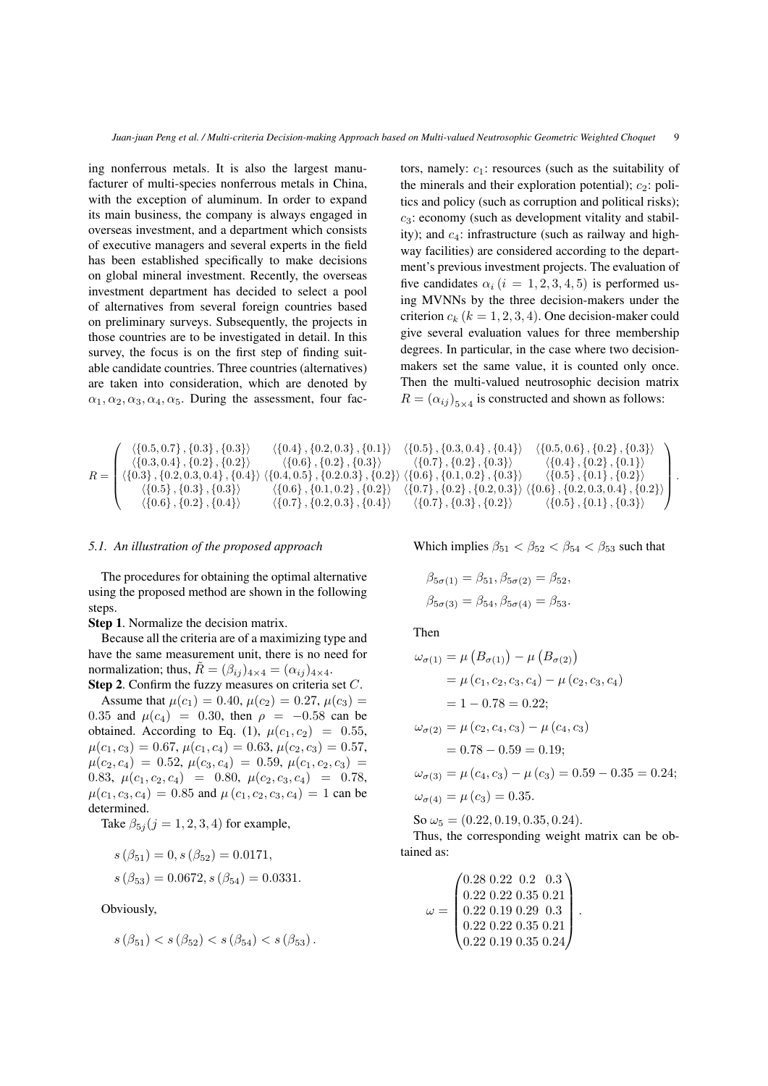ing nonferrous metals. It is also the largest manufacturer of multi-species nonferrous metals in China, with the exception of aluminum. In order to expand its main business, the company is always engaged in overseas investment, and a department which consists of executive managers and several experts in the field has been established specifically to make decisions on global mineral investment. Recently, the overseas investment department has decided to select a pool of alternatives from several foreign countries based on preliminary surveys. Subsequently, the projects in those countries are to be investigated in detail. In this survey, the focus is on the first step of finding suitable candidate countries. Three countries (alternatives) are taken into consideration, which are denoted by  $\alpha_1, \alpha_2, \alpha_3, \alpha_4, \alpha_5$ . During the assessment, four fac-

$$
R = \left(\begin{array}{l} \left\langle \{0.5, 0.7\}, \{0.3\}, \{0.3\} \right\rangle & \left\langle \{0.4\}, \{0.2, 0.3\}, \{0.1\} \right\rangle \\ \left\langle \{0.3, 0.4\}, \{0.2\}, \{0.2\} \right\rangle & \left\langle \{0.6\}, \{0.2\}, \{0.3\} \right\rangle \\ \left\langle \{0.3\}, \{0.2, 0.3, 0.4\}, \{0.4\} \right\rangle & \left\langle \{0.4, 0.5\}, \{0.2.0.3\}, \{0.2\} \right\rangle \\ \left\langle \{0.5\}, \{0.3\}, \{0.3\} \right\rangle & \left\langle \{0.6\}, \{0.1, 0.2\}, \{0.2\} \right\rangle \\ \left\langle \{0.6\}, \{0.2\}, \{0.4\} \right\rangle & \left\langle \{0.7\}, \{0.2, 0.3\}, \{0.4\} \right\rangle \end{array}\right)
$$

#### *5.1. An illustration of the proposed approach*

The procedures for obtaining the optimal alternative using the proposed method are shown in the following steps.

Step 1. Normalize the decision matrix.

Because all the criteria are of a maximizing type and have the same measurement unit, there is no need for normalization; thus,  $\tilde{R} = (\beta_{ij})_{4 \times 4} = (\alpha_{ij})_{4 \times 4}$ .

Step 2. Confirm the fuzzy measures on criteria set C. Assume that  $\mu(c_1) = 0.40, \mu(c_2) = 0.27, \mu(c_3) =$ 0.35 and  $\mu(c_4) = 0.30$ , then  $\rho = -0.58$  can be obtained. According to Eq. (1),  $\mu(c_1, c_2) = 0.55$ ,  $\mu(c_1, c_3) = 0.67, \mu(c_1, c_4) = 0.63, \mu(c_2, c_3) = 0.57,$  $\mu(c_2, c_4) = 0.52, \mu(c_3, c_4) = 0.59, \mu(c_1, c_2, c_3) =$ 0.83,  $\mu(c_1, c_2, c_4) = 0.80, \mu(c_2, c_3, c_4) = 0.78,$  $\mu(c_1, c_3, c_4) = 0.85$  and  $\mu(c_1, c_2, c_3, c_4) = 1$  can be determined.

Take  $\beta_{5j}$  ( $j = 1, 2, 3, 4$ ) for example,

$$
s (\beta_{51}) = 0, s (\beta_{52}) = 0.0171,
$$
  

$$
s (\beta_{53}) = 0.0672, s (\beta_{54}) = 0.0331.
$$

Obviously,

$$
s(\beta_{51}) < s(\beta_{52}) < s(\beta_{54}) < s(\beta_{53}).
$$

tors, namely:  $c_1$ : resources (such as the suitability of the minerals and their exploration potential);  $c_2$ : politics and policy (such as corruption and political risks);  $c_3$ : economy (such as development vitality and stability); and  $c_4$ : infrastructure (such as railway and highway facilities) are considered according to the department's previous investment projects. The evaluation of five candidates  $\alpha_i$  (i = 1, 2, 3, 4, 5) is performed using MVNNs by the three decision-makers under the criterion  $c_k$  ( $k = 1, 2, 3, 4$ ). One decision-maker could give several evaluation values for three membership degrees. In particular, in the case where two decisionmakers set the same value, it is counted only once. Then the multi-valued neutrosophic decision matrix  $R = (\alpha_{ij})_{5 \times 4}$  is constructed and shown as follows:

 $\langle \{0.5\}, \{0.3, 0.4\}, \{0.4\}\rangle$   $\langle \{0.5, 0.6\}, \{0.2\}, \{0.3\}\rangle$  $\langle \{0.7\}, \{0.2\}, \{0.3\}\rangle$   $\langle \{0.4\}, \{0.2\}, \{0.1\}\rangle$ <br> $\langle 0.6\}, \{0.1, 0.2\}, \{0.3\}\rangle$   $\langle \{0.5\}, \{0.1\}, \{0.2\}\rangle$  $\} \rangle \, \langle \{0.6\}, \{0.1, 0.2\}, \{0.3\}\rangle$  $\langle \{0.7\}, \{0.2\}, \{0.2, 0.3\}\rangle$   $\langle \{0.6\}, \{0.2, 0.3, 0.4\}, \{0.2\}\rangle$  $\langle \{0.7\}, \{0.3\}, \{0.2\}\rangle$   $\langle \{0.5\}, \{0.1\}, \{0.3\}\rangle$ <sup>1</sup>  $\int$ 

.

Which implies  $\beta_{51} < \beta_{52} < \beta_{54} < \beta_{53}$  such that

$$
\beta_{5\sigma(1)} = \beta_{51}, \beta_{5\sigma(2)} = \beta_{52},
$$
  
\n $\beta_{5\sigma(3)} = \beta_{54}, \beta_{5\sigma(4)} = \beta_{53}.$ 

Then

$$
\omega_{\sigma(1)} = \mu (B_{\sigma(1)}) - \mu (B_{\sigma(2)})
$$
  
=  $\mu (c_1, c_2, c_3, c_4) - \mu (c_2, c_3, c_4)$   
=  $1 - 0.78 = 0.22$ ;  

$$
\omega_{\sigma(2)} = \mu (c_2, c_4, c_3) - \mu (c_4, c_3)
$$
  
=  $0.78 - 0.59 = 0.19$ ;  

$$
\omega_{\sigma(3)} = \mu (c_4, c_3) - \mu (c_3) = 0.59 - 0.35 = 0.24
$$
;  

$$
\omega_{\sigma(4)} = \mu (c_3) = 0.35.
$$

So  $\omega_5 = (0.22, 0.19, 0.35, 0.24).$ 

Thus, the corresponding weight matrix can be obtained as:

$$
\omega = \begin{pmatrix} 0.28 & 0.22 & 0.2 & 0.3 \\ 0.22 & 0.22 & 0.35 & 0.21 \\ 0.22 & 0.19 & 0.29 & 0.3 \\ 0.22 & 0.22 & 0.35 & 0.21 \\ 0.22 & 0.19 & 0.35 & 0.24 \end{pmatrix}.
$$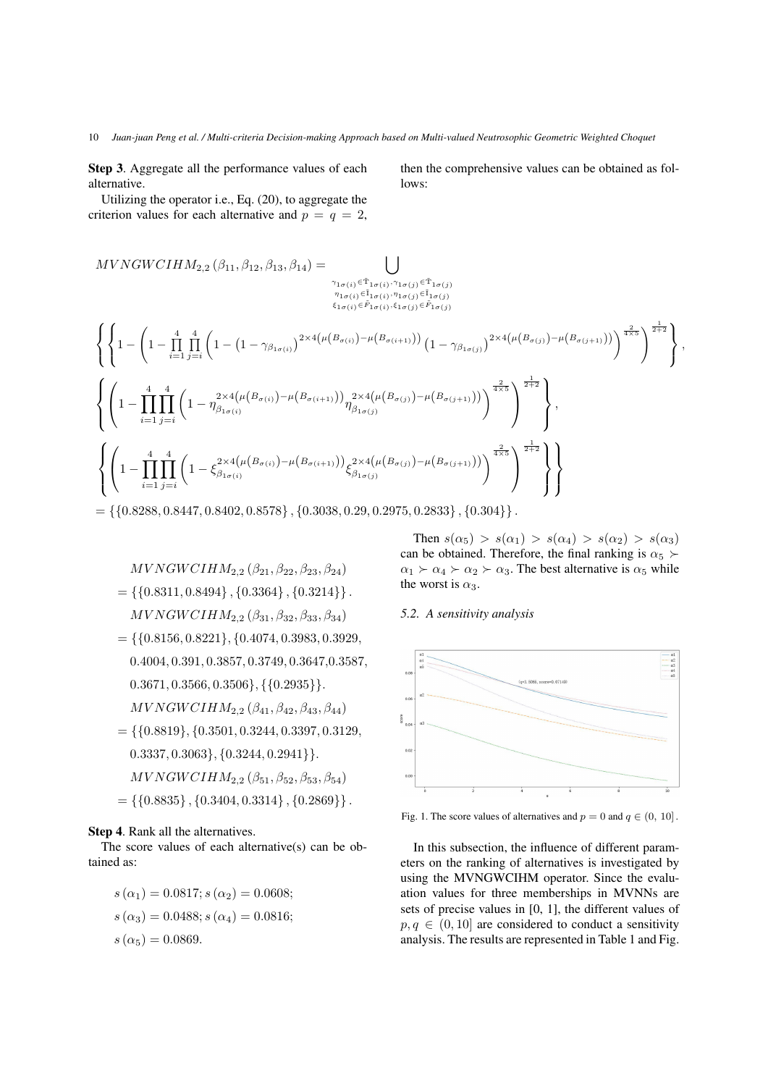Step 3. Aggregate all the performance values of each alternative.

Utilizing the operator i.e., Eq. (20), to aggregate the criterion values for each alternative and  $p = q = 2$ ,

$$
MVNGWCIHM_{2,2}(\beta_{11}, \beta_{12}, \beta_{13}, \beta_{14}) = \bigcup_{\substack{\gamma_{1\sigma(i)} \in \tilde{\mathcal{T}}_{1\sigma(i)}, \gamma_{1\sigma(j)} \in \tilde{\mathcal{T}}_{1\sigma(j)} \\ \delta_{1\sigma(i)} \in \tilde{\mathcal{T}}_{1\sigma(i)}}} \sum_{\substack{\gamma_{1\sigma(i)} \in \tilde{\mathcal{T}}_{1\sigma(i)}, \gamma_{1\sigma(j)} \in \tilde{\mathcal{T}}_{1\sigma(j)} \\ \delta_{1\sigma(i)} \in \tilde{F}_{1\sigma(i)}, \delta_{1\sigma(j)} \in \tilde{F}_{1\sigma(j)}}} \left\{ \left\{ 1 - \left( 1 - \prod_{i=1}^{4} \prod_{j=i}^{4} \left( 1 - \left( 1 - \gamma_{\beta_{1\sigma(i)}} \right)^{2 \times 4\left( \mu\left(B_{\sigma(i)}\right) - \mu\left(B_{\sigma(i+1)}\right) \right)} \left( 1 - \gamma_{\beta_{1\sigma(j)}} \right)^{2 \times 4\left( \mu\left(B_{\sigma(j)}\right) - \mu\left(B_{\sigma(j+1)}\right) \right)} \right)^{\frac{2}{4 \times 5}} \right\}^{\frac{1}{2} + 2} \right\},
$$
\n
$$
\left\{ \left( 1 - \prod_{i=1}^{4} \prod_{j=i}^{4} \left( 1 - \eta_{\beta_{1\sigma(i)}}^{2 \times 4\left( \mu\left(B_{\sigma(i)}\right) - \mu\left(B_{\sigma(i+1)}\right) \right)} \eta_{\beta_{1\sigma(j)}}^{2 \times 4\left( \mu\left(B_{\sigma(j)}\right) - \mu\left(B_{\sigma(j+1)}\right) \right)} \right)^{\frac{2}{4 \times 5}} \right\}^{\frac{1}{2} + 2} \right\},
$$
\n
$$
\left\{ \left( 1 - \prod_{i=1}^{4} \prod_{j=i}^{4} \left( 1 - \xi_{\beta_{1\sigma(i)}}^{2 \times 4\left( \mu\left(B_{\sigma(i)}\right) - \mu\left(B_{\sigma(i+1)}\right) \right)} \xi_{\beta_{1\sigma(j)}}^{2 \times 4\left( \mu\left(B_{\sigma(j)}\right) - \mu\left(B_{\sigma(j+1)}\right) \right)} \right)^{\frac{2}{4 \times 5}} \right\
$$

 $= \{\{0.8288, 0.8447, 0.8402, 0.8578\}, \{0.3038, 0.29, 0.2975, 0.2833\}, \{0.304\}\}.$ 

 $MVNGWCIHM_{2,2} (\beta_{21}, \beta_{22}, \beta_{23}, \beta_{24})$  $= \{ \{0.8311, 0.8494\}, \{0.3364\}, \{0.3214\} \}.$  $MVNGWCIHM_{2,2} (\beta_{31}, \beta_{32}, \beta_{33}, \beta_{34})$  $=$ {{0.8156, 0.8221}, {0.4074, 0.3983, 0.3929,} 0.4004, 0.391, 0.3857, 0.3749, 0.3647,0.3587,  $0.3671, 0.3566, 0.3506\}, \{\{0.2935\}\}.$  $MVNGWCIHM_{2.2} (\beta_{41}, \beta_{42}, \beta_{43}, \beta_{44})$  $=$  {{0.8819}, {0.3501, 0.3244, 0.3397, 0.3129}  $0.3337, 0.3063\}, \{0.3244, 0.2941\}\$ .  $MVNGWCIHM_{2,2} (\beta_{51}, \beta_{52}, \beta_{53}, \beta_{54})$  $= \{\{0.8835\}, \{0.3404, 0.3314\}, \{0.2869\}\}.$ 

#### Step 4. Rank all the alternatives.

The score values of each alternative(s) can be obtained as:

$$
s(\alpha_1) = 0.0817; s(\alpha_2) = 0.0608;
$$
  
\n
$$
s(\alpha_3) = 0.0488; s(\alpha_4) = 0.0816;
$$
  
\n
$$
s(\alpha_5) = 0.0869.
$$

Then  $s(\alpha_5) > s(\alpha_1) > s(\alpha_4) > s(\alpha_2) > s(\alpha_3)$ can be obtained. Therefore, the final ranking is  $\alpha_5$  $\alpha_1 \succ \alpha_4 \succ \alpha_2 \succ \alpha_3$ . The best alternative is  $\alpha_5$  while the worst is  $\alpha_3$ .

### *5.2. A sensitivity analysis*



Fig. 1. The score values of alternatives and  $p = 0$  and  $q \in (0, 10]$ .

In this subsection, the influence of different parameters on the ranking of alternatives is investigated by using the MVNGWCIHM operator. Since the evaluation values for three memberships in MVNNs are sets of precise values in [0, 1], the different values of  $p, q \in (0, 10]$  are considered to conduct a sensitivity analysis. The results are represented in Table 1 and Fig.

then the comprehensive values can be obtained as follows: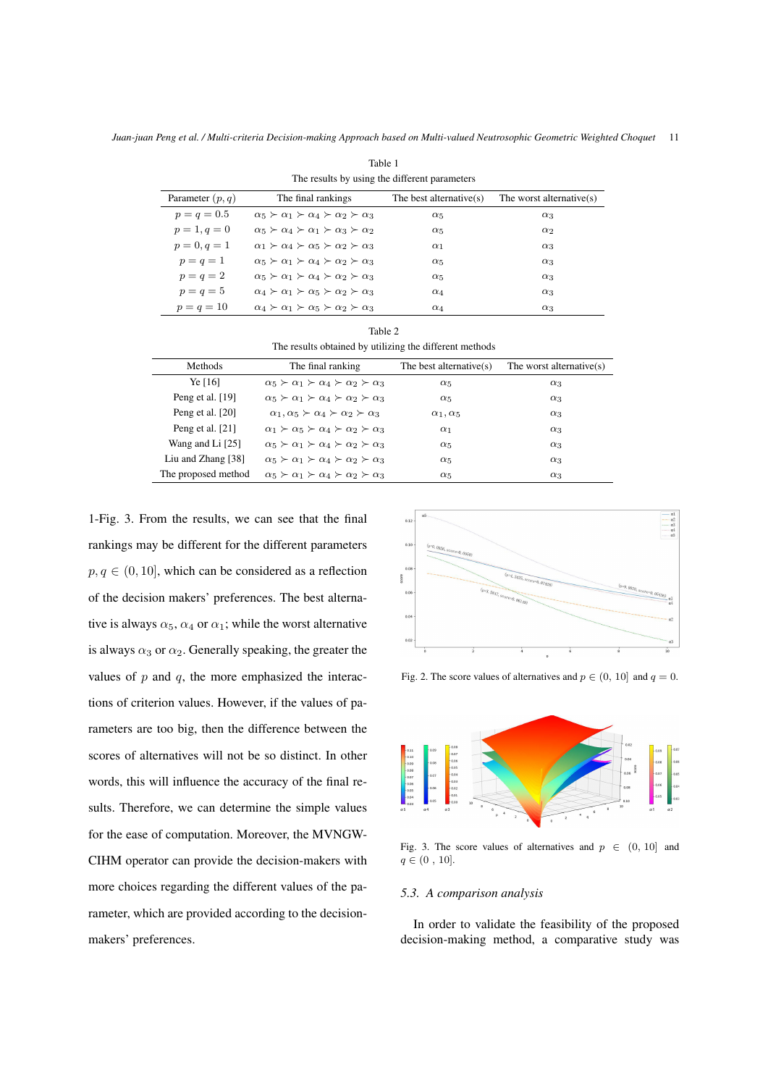| The results by using the different parameters |                                                                        |                         |                             |  |
|-----------------------------------------------|------------------------------------------------------------------------|-------------------------|-----------------------------|--|
| Parameter $(p, q)$                            | The final rankings                                                     | The best alternative(s) | The worst alternative $(s)$ |  |
| $p = q = 0.5$                                 | $\alpha_5 \succ \alpha_1 \succ \alpha_4 \succ \alpha_2 \succ \alpha_3$ | $\alpha_5$              | $\alpha_3$                  |  |
| $p=1, q=0$                                    | $\alpha_5 \succ \alpha_4 \succ \alpha_1 \succ \alpha_3 \succ \alpha_2$ | $\alpha_5$              | $\alpha_2$                  |  |
| $p = 0, q = 1$                                | $\alpha_1 \succ \alpha_4 \succ \alpha_5 \succ \alpha_2 \succ \alpha_3$ | $\alpha_1$              | $\alpha_3$                  |  |
| $p = q = 1$                                   | $\alpha_5 \succ \alpha_1 \succ \alpha_4 \succ \alpha_2 \succ \alpha_3$ | $\alpha_5$              | $\alpha_3$                  |  |
| $p = q = 2$                                   | $\alpha_5 \succ \alpha_1 \succ \alpha_4 \succ \alpha_2 \succ \alpha_3$ | $\alpha_5$              | $\alpha_3$                  |  |
| $p = q = 5$                                   | $\alpha_4 \succ \alpha_1 \succ \alpha_5 \succ \alpha_2 \succ \alpha_3$ | $\alpha_4$              | $\alpha_3$                  |  |
| $p = q = 10$                                  | $\alpha_4 \succ \alpha_1 \succ \alpha_5 \succ \alpha_2 \succ \alpha_3$ | $\alpha_4$              | $\alpha_3$                  |  |

Table 1

| Table 2<br>The results obtained by utilizing the different methods |                                                                        |                            |                             |  |
|--------------------------------------------------------------------|------------------------------------------------------------------------|----------------------------|-----------------------------|--|
| Methods                                                            | The final ranking                                                      | The best alternative $(s)$ | The worst alternative $(s)$ |  |
| Ye [16]                                                            | $\alpha_5 \succ \alpha_1 \succ \alpha_4 \succ \alpha_2 \succ \alpha_3$ | $\alpha_5$                 | $\alpha_3$                  |  |
| Peng et al. $[19]$                                                 | $\alpha_5 \succ \alpha_1 \succ \alpha_4 \succ \alpha_2 \succ \alpha_3$ | $\alpha_5$                 | $\alpha_3$                  |  |
| Peng et al. [20]                                                   | $\alpha_1, \alpha_5 \succ \alpha_4 \succ \alpha_2 \succ \alpha_3$      | $\alpha_1, \alpha_5$       | $\alpha_3$                  |  |
| Peng et al. $[21]$                                                 | $\alpha_1 \succ \alpha_5 \succ \alpha_4 \succ \alpha_2 \succ \alpha_3$ | $\alpha_1$                 | $\alpha_3$                  |  |
| Wang and Li [25]                                                   | $\alpha_5 \succ \alpha_1 \succ \alpha_4 \succ \alpha_2 \succ \alpha_3$ | $\alpha_5$                 | $\alpha_3$                  |  |
| Liu and Zhang [38]                                                 | $\alpha_5 \succ \alpha_1 \succ \alpha_4 \succ \alpha_2 \succ \alpha_3$ | $\alpha_5$                 | $\alpha_3$                  |  |
| The proposed method                                                | $\alpha_5 \succ \alpha_1 \succ \alpha_4 \succ \alpha_2 \succ \alpha_3$ | $\alpha_{5}$               | $\alpha_3$                  |  |

1-Fig. 3. From the results, we can see that the final rankings may be different for the different parameters  $p, q \in (0, 10]$ , which can be considered as a reflection of the decision makers' preferences. The best alternative is always  $\alpha_5$ ,  $\alpha_4$  or  $\alpha_1$ ; while the worst alternative is always  $\alpha_3$  or  $\alpha_2$ . Generally speaking, the greater the values of  $p$  and  $q$ , the more emphasized the interactions of criterion values. However, if the values of parameters are too big, then the difference between the scores of alternatives will not be so distinct. In other words, this will influence the accuracy of the final results. Therefore, we can determine the simple values for the ease of computation. Moreover, the MVNGW-CIHM operator can provide the decision-makers with more choices regarding the different values of the parameter, which are provided according to the decisionmakers' preferences.



Fig. 2. The score values of alternatives and  $p \in (0, 10]$  and  $q = 0$ .



Fig. 3. The score values of alternatives and  $p \in (0, 10]$  and  $q \in (0, 10].$ 

### *5.3. A comparison analysis*

In order to validate the feasibility of the proposed decision-making method, a comparative study was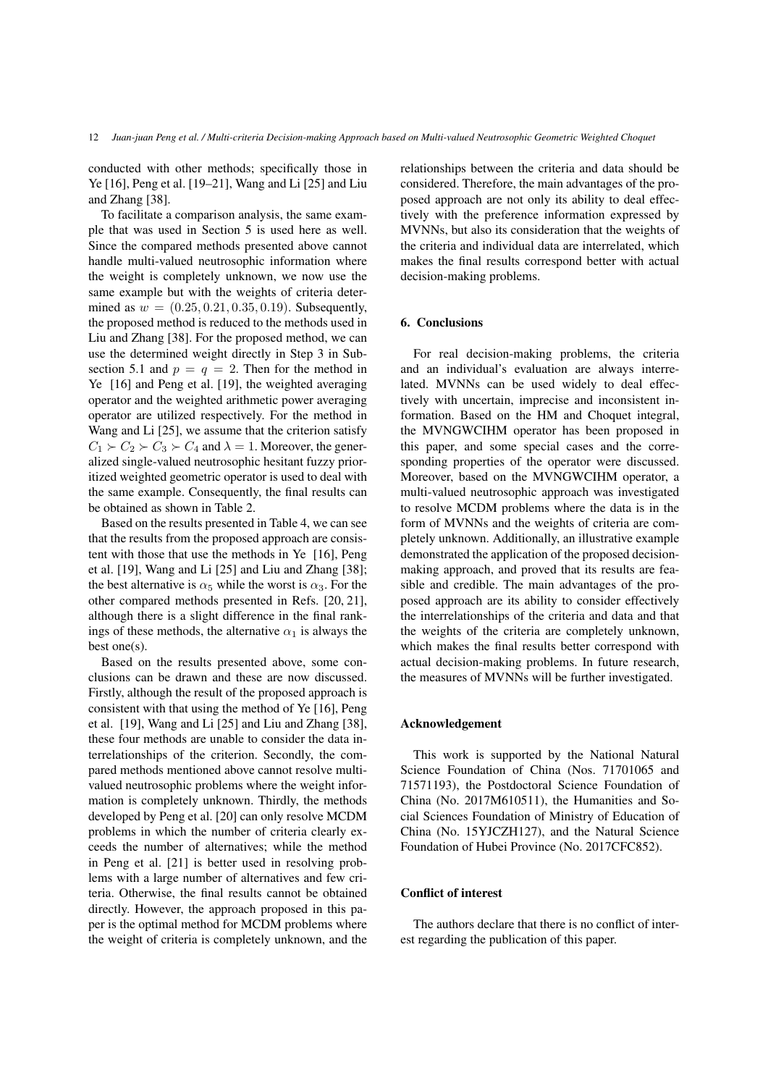conducted with other methods; specifically those in Ye [16], Peng et al. [19–21], Wang and Li [25] and Liu and Zhang [38].

To facilitate a comparison analysis, the same example that was used in Section 5 is used here as well. Since the compared methods presented above cannot handle multi-valued neutrosophic information where the weight is completely unknown, we now use the same example but with the weights of criteria determined as  $w = (0.25, 0.21, 0.35, 0.19)$ . Subsequently, the proposed method is reduced to the methods used in Liu and Zhang [38]. For the proposed method, we can use the determined weight directly in Step 3 in Subsection 5.1 and  $p = q = 2$ . Then for the method in Ye [16] and Peng et al. [19], the weighted averaging operator and the weighted arithmetic power averaging operator are utilized respectively. For the method in Wang and Li [25], we assume that the criterion satisfy  $C_1 \succ C_2 \succ C_3 \succ C_4$  and  $\lambda = 1$ . Moreover, the generalized single-valued neutrosophic hesitant fuzzy prioritized weighted geometric operator is used to deal with the same example. Consequently, the final results can be obtained as shown in Table 2.

Based on the results presented in Table 4, we can see that the results from the proposed approach are consistent with those that use the methods in Ye [16], Peng et al. [19], Wang and Li [25] and Liu and Zhang [38]; the best alternative is  $\alpha_5$  while the worst is  $\alpha_3$ . For the other compared methods presented in Refs. [20, 21], although there is a slight difference in the final rankings of these methods, the alternative  $\alpha_1$  is always the best one(s).

Based on the results presented above, some conclusions can be drawn and these are now discussed. Firstly, although the result of the proposed approach is consistent with that using the method of Ye [16], Peng et al. [19], Wang and Li [25] and Liu and Zhang [38], these four methods are unable to consider the data interrelationships of the criterion. Secondly, the compared methods mentioned above cannot resolve multivalued neutrosophic problems where the weight information is completely unknown. Thirdly, the methods developed by Peng et al. [20] can only resolve MCDM problems in which the number of criteria clearly exceeds the number of alternatives; while the method in Peng et al. [21] is better used in resolving problems with a large number of alternatives and few criteria. Otherwise, the final results cannot be obtained directly. However, the approach proposed in this paper is the optimal method for MCDM problems where the weight of criteria is completely unknown, and the relationships between the criteria and data should be considered. Therefore, the main advantages of the proposed approach are not only its ability to deal effectively with the preference information expressed by MVNNs, but also its consideration that the weights of the criteria and individual data are interrelated, which makes the final results correspond better with actual decision-making problems.

## 6. Conclusions

For real decision-making problems, the criteria and an individual's evaluation are always interrelated. MVNNs can be used widely to deal effectively with uncertain, imprecise and inconsistent information. Based on the HM and Choquet integral, the MVNGWCIHM operator has been proposed in this paper, and some special cases and the corresponding properties of the operator were discussed. Moreover, based on the MVNGWCIHM operator, a multi-valued neutrosophic approach was investigated to resolve MCDM problems where the data is in the form of MVNNs and the weights of criteria are completely unknown. Additionally, an illustrative example demonstrated the application of the proposed decisionmaking approach, and proved that its results are feasible and credible. The main advantages of the proposed approach are its ability to consider effectively the interrelationships of the criteria and data and that the weights of the criteria are completely unknown, which makes the final results better correspond with actual decision-making problems. In future research, the measures of MVNNs will be further investigated.

## Acknowledgement

This work is supported by the National Natural Science Foundation of China (Nos. 71701065 and 71571193), the Postdoctoral Science Foundation of China (No. 2017M610511), the Humanities and Social Sciences Foundation of Ministry of Education of China (No. 15YJCZH127), and the Natural Science Foundation of Hubei Province (No. 2017CFC852).

### Conflict of interest

The authors declare that there is no conflict of interest regarding the publication of this paper.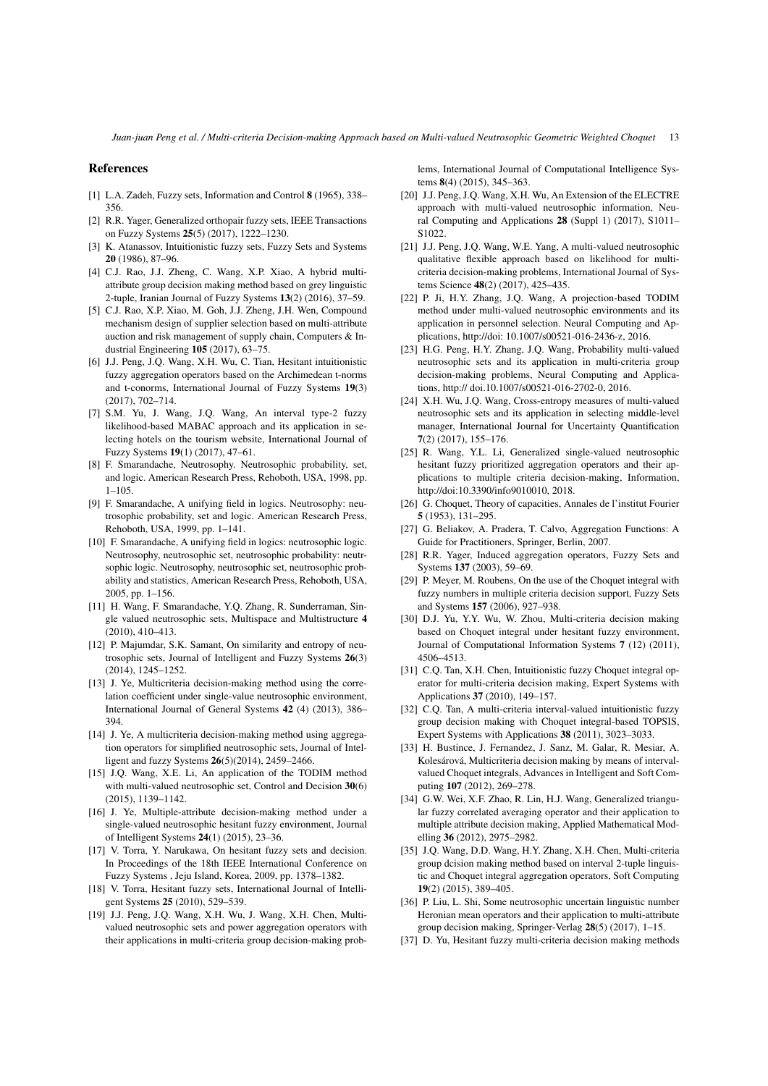*Juan-juan Peng et al. / Multi-criteria Decision-making Approach based on Multi-valued Neutrosophic Geometric Weighted Choquet* 13

#### References

- [1] L.A. Zadeh, Fuzzy sets, Information and Control 8 (1965), 338– 356.
- [2] R.R. Yager, Generalized orthopair fuzzy sets, IEEE Transactions on Fuzzy Systems 25(5) (2017), 1222–1230.
- [3] K. Atanassov, Intuitionistic fuzzy sets, Fuzzy Sets and Systems 20 (1986), 87–96.
- [4] C.J. Rao, J.J. Zheng, C. Wang, X.P. Xiao, A hybrid multiattribute group decision making method based on grey linguistic 2-tuple, Iranian Journal of Fuzzy Systems 13(2) (2016), 37–59.
- [5] C.J. Rao, X.P. Xiao, M. Goh, J.J. Zheng, J.H. Wen, Compound mechanism design of supplier selection based on multi-attribute auction and risk management of supply chain, Computers & Industrial Engineering 105 (2017), 63–75.
- [6] J.J. Peng, J.Q. Wang, X.H. Wu, C. Tian, Hesitant intuitionistic fuzzy aggregation operators based on the Archimedean t-norms and t-conorms, International Journal of Fuzzy Systems 19(3) (2017), 702–714.
- [7] S.M. Yu, J. Wang, J.Q. Wang, An interval type-2 fuzzy likelihood-based MABAC approach and its application in selecting hotels on the tourism website, International Journal of Fuzzy Systems 19(1) (2017), 47–61.
- [8] F. Smarandache, Neutrosophy. Neutrosophic probability, set, and logic. American Research Press, Rehoboth, USA, 1998, pp. 1–105.
- [9] F. Smarandache, A unifying field in logics. Neutrosophy: neutrosophic probability, set and logic. American Research Press, Rehoboth, USA, 1999, pp. 1–141.
- [10] F. Smarandache, A unifying field in logics: neutrosophic logic. Neutrosophy, neutrosophic set, neutrosophic probability: neutrsophic logic. Neutrosophy, neutrosophic set, neutrosophic probability and statistics, American Research Press, Rehoboth, USA, 2005, pp. 1–156.
- [11] H. Wang, F. Smarandache, Y.Q. Zhang, R. Sunderraman, Single valued neutrosophic sets, Multispace and Multistructure 4 (2010), 410–413.
- [12] P. Majumdar, S.K. Samant, On similarity and entropy of neutrosophic sets, Journal of Intelligent and Fuzzy Systems 26(3) (2014), 1245–1252.
- [13] J. Ye, Multicriteria decision-making method using the correlation coefficient under single-value neutrosophic environment, International Journal of General Systems 42 (4) (2013), 386– 394.
- [14] J. Ye, A multicriteria decision-making method using aggregation operators for simplified neutrosophic sets, Journal of Intelligent and fuzzy Systems 26(5)(2014), 2459–2466.
- [15] J.Q. Wang, X.E. Li, An application of the TODIM method with multi-valued neutrosophic set. Control and Decision 30(6) (2015), 1139–1142.
- [16] J. Ye, Multiple-attribute decision-making method under a single-valued neutrosophic hesitant fuzzy environment, Journal of Intelligent Systems 24(1) (2015), 23–36.
- [17] V. Torra, Y. Narukawa, On hesitant fuzzy sets and decision. In Proceedings of the 18th IEEE International Conference on Fuzzy Systems , Jeju Island, Korea, 2009, pp. 1378–1382.
- [18] V. Torra, Hesitant fuzzy sets, International Journal of Intelligent Systems 25 (2010), 529–539.
- [19] J.J. Peng, J.Q. Wang, X.H. Wu, J. Wang, X.H. Chen, Multivalued neutrosophic sets and power aggregation operators with their applications in multi-criteria group decision-making prob-

lems, International Journal of Computational Intelligence Systems 8(4) (2015), 345–363.

- [20] J.J. Peng, J.Q. Wang, X.H. Wu, An Extension of the ELECTRE approach with multi-valued neutrosophic information, Neural Computing and Applications 28 (Suppl 1) (2017), S1011– S1022.
- [21] J.J. Peng, J.Q. Wang, W.E. Yang, A multi-valued neutrosophic qualitative flexible approach based on likelihood for multicriteria decision-making problems, International Journal of Systems Science 48(2) (2017), 425–435.
- [22] P. Ji, H.Y. Zhang, J.Q. Wang, A projection-based TODIM method under multi-valued neutrosophic environments and its application in personnel selection. Neural Computing and Applications, http://doi: 10.1007/s00521-016-2436-z, 2016.
- [23] H.G. Peng, H.Y. Zhang, J.Q. Wang, Probability multi-valued neutrosophic sets and its application in multi-criteria group decision-making problems, Neural Computing and Applications, http:// doi.10.1007/s00521-016-2702-0, 2016.
- [24] X.H. Wu, J.Q. Wang, Cross-entropy measures of multi-valued neutrosophic sets and its application in selecting middle-level manager, International Journal for Uncertainty Quantification 7(2) (2017), 155–176.
- [25] R. Wang, Y.L. Li, Generalized single-valued neutrosophic hesitant fuzzy prioritized aggregation operators and their applications to multiple criteria decision-making, Information, http://doi:10.3390/info9010010, 2018.
- [26] G. Choquet, Theory of capacities, Annales de l'institut Fourier 5 (1953), 131–295.
- [27] G. Beliakov, A. Pradera, T. Calvo, Aggregation Functions: A Guide for Practitioners, Springer, Berlin, 2007.
- [28] R.R. Yager, Induced aggregation operators, Fuzzy Sets and Systems 137 (2003), 59–69.
- [29] P. Meyer, M. Roubens, On the use of the Choquet integral with fuzzy numbers in multiple criteria decision support, Fuzzy Sets and Systems 157 (2006), 927–938.
- [30] D.J. Yu, Y.Y. Wu, W. Zhou, Multi-criteria decision making based on Choquet integral under hesitant fuzzy environment, Journal of Computational Information Systems 7 (12) (2011), 4506–4513.
- [31] C.Q. Tan, X.H. Chen, Intuitionistic fuzzy Choquet integral operator for multi-criteria decision making, Expert Systems with Applications 37 (2010), 149–157.
- [32] C.Q. Tan, A multi-criteria interval-valued intuitionistic fuzzy group decision making with Choquet integral-based TOPSIS, Expert Systems with Applications 38 (2011), 3023–3033.
- [33] H. Bustince, J. Fernandez, J. Sanz, M. Galar, R. Mesiar, A. Kolesárová, Multicriteria decision making by means of intervalvalued Choquet integrals, Advances in Intelligent and Soft Computing 107 (2012), 269–278.
- [34] G.W. Wei, X.F. Zhao, R. Lin, H.J. Wang, Generalized triangular fuzzy correlated averaging operator and their application to multiple attribute decision making, Applied Mathematical Modelling 36 (2012), 2975–2982.
- [35] J.Q. Wang, D.D. Wang, H.Y. Zhang, X.H. Chen, Multi-criteria group dcision making method based on interval 2-tuple linguistic and Choquet integral aggregation operators, Soft Computing 19(2) (2015), 389–405.
- [36] P. Liu, L. Shi, Some neutrosophic uncertain linguistic number Heronian mean operators and their application to multi-attribute group decision making, Springer-Verlag 28(5) (2017), 1–15.
- [37] D. Yu, Hesitant fuzzy multi-criteria decision making methods